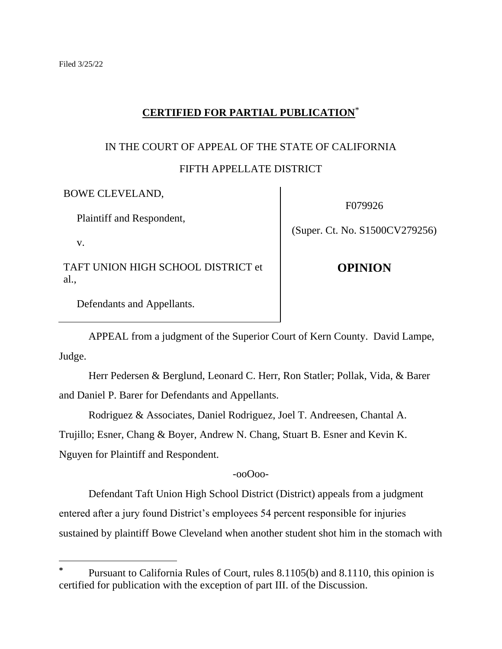v.

# **CERTIFIED FOR PARTIAL PUBLICATION**\*

# IN THE COURT OF APPEAL OF THE STATE OF CALIFORNIA

## FIFTH APPELLATE DISTRICT

BOWE CLEVELAND,

Plaintiff and Respondent,

F079926

(Super. Ct. No. S1500CV279256)

TAFT UNION HIGH SCHOOL DISTRICT et al.,

**OPINION**

Defendants and Appellants.

APPEAL from a judgment of the Superior Court of Kern County. David Lampe, Judge.

Herr Pedersen & Berglund, Leonard C. Herr, Ron Statler; Pollak, Vida, & Barer and Daniel P. Barer for Defendants and Appellants.

Rodriguez & Associates, Daniel Rodriguez, Joel T. Andreesen, Chantal A. Trujillo; Esner, Chang & Boyer, Andrew N. Chang, Stuart B. Esner and Kevin K. Nguyen for Plaintiff and Respondent.

-ooOoo-

Defendant Taft Union High School District (District) appeals from a judgment entered after a jury found District's employees 54 percent responsible for injuries sustained by plaintiff Bowe Cleveland when another student shot him in the stomach with

Pursuant to California Rules of Court, rules 8.1105(b) and 8.1110, this opinion is certified for publication with the exception of part III. of the Discussion.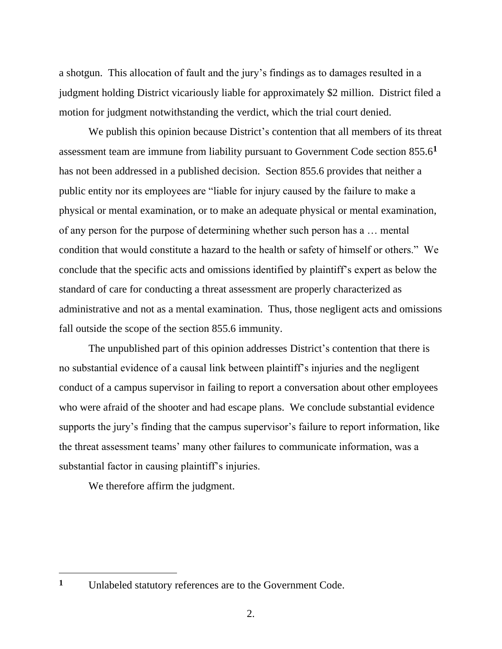a shotgun. This allocation of fault and the jury's findings as to damages resulted in a judgment holding District vicariously liable for approximately \$2 million. District filed a motion for judgment notwithstanding the verdict, which the trial court denied.

We publish this opinion because District's contention that all members of its threat assessment team are immune from liability pursuant to Government Code section 855.6**<sup>1</sup>** has not been addressed in a published decision. Section 855.6 provides that neither a public entity nor its employees are "liable for injury caused by the failure to make a physical or mental examination, or to make an adequate physical or mental examination, of any person for the purpose of determining whether such person has a … mental condition that would constitute a hazard to the health or safety of himself or others." We conclude that the specific acts and omissions identified by plaintiff's expert as below the standard of care for conducting a threat assessment are properly characterized as administrative and not as a mental examination. Thus, those negligent acts and omissions fall outside the scope of the section 855.6 immunity.

The unpublished part of this opinion addresses District's contention that there is no substantial evidence of a causal link between plaintiff's injuries and the negligent conduct of a campus supervisor in failing to report a conversation about other employees who were afraid of the shooter and had escape plans. We conclude substantial evidence supports the jury's finding that the campus supervisor's failure to report information, like the threat assessment teams' many other failures to communicate information, was a substantial factor in causing plaintiff's injuries.

We therefore affirm the judgment.

**<sup>1</sup>** Unlabeled statutory references are to the Government Code.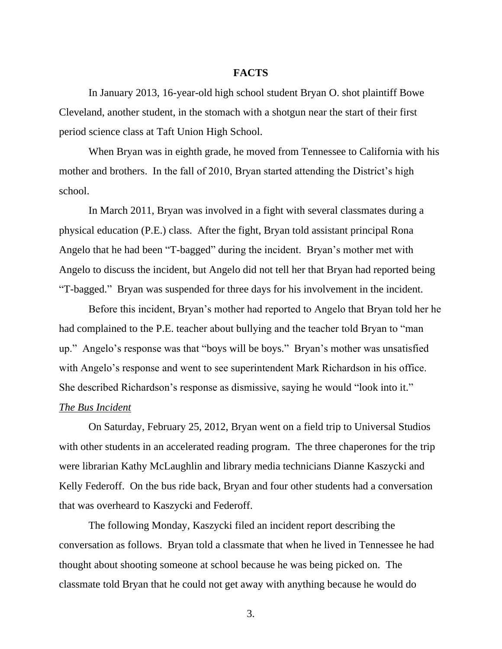### **FACTS**

In January 2013, 16-year-old high school student Bryan O. shot plaintiff Bowe Cleveland, another student, in the stomach with a shotgun near the start of their first period science class at Taft Union High School.

When Bryan was in eighth grade, he moved from Tennessee to California with his mother and brothers. In the fall of 2010, Bryan started attending the District's high school.

In March 2011, Bryan was involved in a fight with several classmates during a physical education (P.E.) class. After the fight, Bryan told assistant principal Rona Angelo that he had been "T-bagged" during the incident. Bryan's mother met with Angelo to discuss the incident, but Angelo did not tell her that Bryan had reported being "T-bagged." Bryan was suspended for three days for his involvement in the incident.

Before this incident, Bryan's mother had reported to Angelo that Bryan told her he had complained to the P.E. teacher about bullying and the teacher told Bryan to "man up." Angelo's response was that "boys will be boys." Bryan's mother was unsatisfied with Angelo's response and went to see superintendent Mark Richardson in his office. She described Richardson's response as dismissive, saying he would "look into it." *The Bus Incident*

On Saturday, February 25, 2012, Bryan went on a field trip to Universal Studios with other students in an accelerated reading program. The three chaperones for the trip were librarian Kathy McLaughlin and library media technicians Dianne Kaszycki and Kelly Federoff. On the bus ride back, Bryan and four other students had a conversation that was overheard to Kaszycki and Federoff.

The following Monday, Kaszycki filed an incident report describing the conversation as follows. Bryan told a classmate that when he lived in Tennessee he had thought about shooting someone at school because he was being picked on. The classmate told Bryan that he could not get away with anything because he would do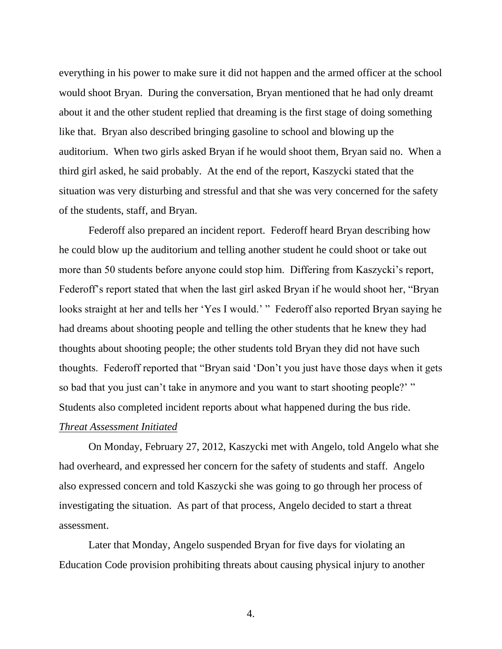everything in his power to make sure it did not happen and the armed officer at the school would shoot Bryan. During the conversation, Bryan mentioned that he had only dreamt about it and the other student replied that dreaming is the first stage of doing something like that. Bryan also described bringing gasoline to school and blowing up the auditorium. When two girls asked Bryan if he would shoot them, Bryan said no. When a third girl asked, he said probably. At the end of the report, Kaszycki stated that the situation was very disturbing and stressful and that she was very concerned for the safety of the students, staff, and Bryan.

Federoff also prepared an incident report. Federoff heard Bryan describing how he could blow up the auditorium and telling another student he could shoot or take out more than 50 students before anyone could stop him. Differing from Kaszycki's report, Federoff's report stated that when the last girl asked Bryan if he would shoot her, "Bryan looks straight at her and tells her 'Yes I would.' " Federoff also reported Bryan saying he had dreams about shooting people and telling the other students that he knew they had thoughts about shooting people; the other students told Bryan they did not have such thoughts. Federoff reported that "Bryan said 'Don't you just have those days when it gets so bad that you just can't take in anymore and you want to start shooting people?' " Students also completed incident reports about what happened during the bus ride.

#### *Threat Assessment Initiated*

On Monday, February 27, 2012, Kaszycki met with Angelo, told Angelo what she had overheard, and expressed her concern for the safety of students and staff. Angelo also expressed concern and told Kaszycki she was going to go through her process of investigating the situation. As part of that process, Angelo decided to start a threat assessment.

Later that Monday, Angelo suspended Bryan for five days for violating an Education Code provision prohibiting threats about causing physical injury to another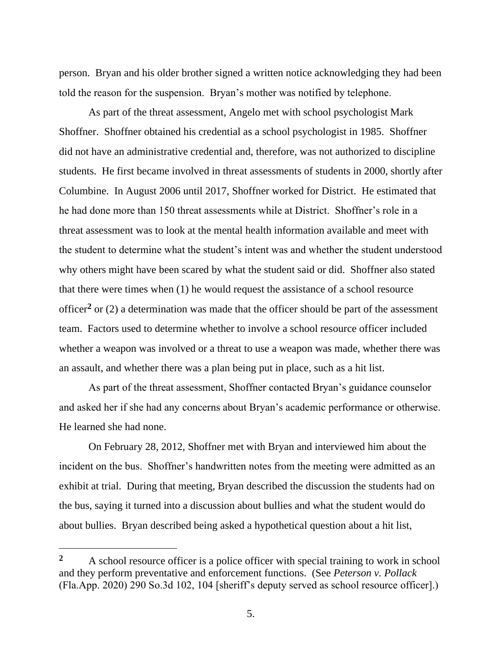person. Bryan and his older brother signed a written notice acknowledging they had been told the reason for the suspension. Bryan's mother was notified by telephone.

As part of the threat assessment, Angelo met with school psychologist Mark Shoffner. Shoffner obtained his credential as a school psychologist in 1985. Shoffner did not have an administrative credential and, therefore, was not authorized to discipline students. He first became involved in threat assessments of students in 2000, shortly after Columbine. In August 2006 until 2017, Shoffner worked for District. He estimated that he had done more than 150 threat assessments while at District. Shoffner's role in a threat assessment was to look at the mental health information available and meet with the student to determine what the student's intent was and whether the student understood why others might have been scared by what the student said or did. Shoffner also stated that there were times when (1) he would request the assistance of a school resource officer**<sup>2</sup>** or (2) a determination was made that the officer should be part of the assessment team. Factors used to determine whether to involve a school resource officer included whether a weapon was involved or a threat to use a weapon was made, whether there was an assault, and whether there was a plan being put in place, such as a hit list.

As part of the threat assessment, Shoffner contacted Bryan's guidance counselor and asked her if she had any concerns about Bryan's academic performance or otherwise. He learned she had none.

On February 28, 2012, Shoffner met with Bryan and interviewed him about the incident on the bus. Shoffner's handwritten notes from the meeting were admitted as an exhibit at trial. During that meeting, Bryan described the discussion the students had on the bus, saying it turned into a discussion about bullies and what the student would do about bullies. Bryan described being asked a hypothetical question about a hit list,

**<sup>2</sup>** A school resource officer is a police officer with special training to work in school and they perform preventative and enforcement functions. (See *Peterson v. Pollack* (Fla.App. 2020) 290 So.3d 102, 104 [sheriff's deputy served as school resource officer].)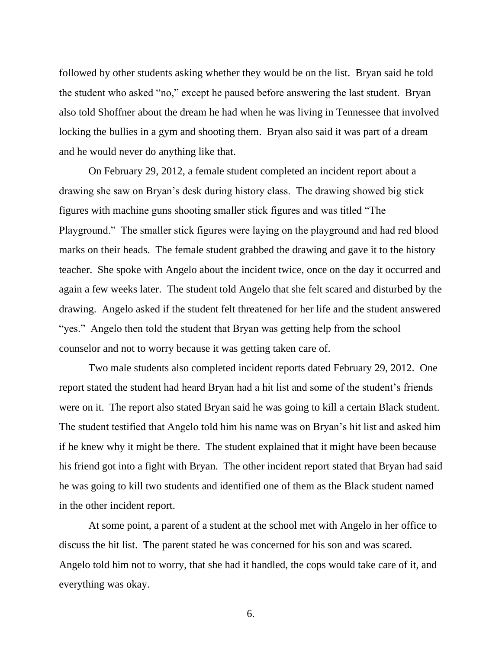followed by other students asking whether they would be on the list. Bryan said he told the student who asked "no," except he paused before answering the last student. Bryan also told Shoffner about the dream he had when he was living in Tennessee that involved locking the bullies in a gym and shooting them. Bryan also said it was part of a dream and he would never do anything like that.

On February 29, 2012, a female student completed an incident report about a drawing she saw on Bryan's desk during history class. The drawing showed big stick figures with machine guns shooting smaller stick figures and was titled "The Playground." The smaller stick figures were laying on the playground and had red blood marks on their heads. The female student grabbed the drawing and gave it to the history teacher. She spoke with Angelo about the incident twice, once on the day it occurred and again a few weeks later. The student told Angelo that she felt scared and disturbed by the drawing. Angelo asked if the student felt threatened for her life and the student answered "yes." Angelo then told the student that Bryan was getting help from the school counselor and not to worry because it was getting taken care of.

Two male students also completed incident reports dated February 29, 2012. One report stated the student had heard Bryan had a hit list and some of the student's friends were on it. The report also stated Bryan said he was going to kill a certain Black student. The student testified that Angelo told him his name was on Bryan's hit list and asked him if he knew why it might be there. The student explained that it might have been because his friend got into a fight with Bryan. The other incident report stated that Bryan had said he was going to kill two students and identified one of them as the Black student named in the other incident report.

At some point, a parent of a student at the school met with Angelo in her office to discuss the hit list. The parent stated he was concerned for his son and was scared. Angelo told him not to worry, that she had it handled, the cops would take care of it, and everything was okay.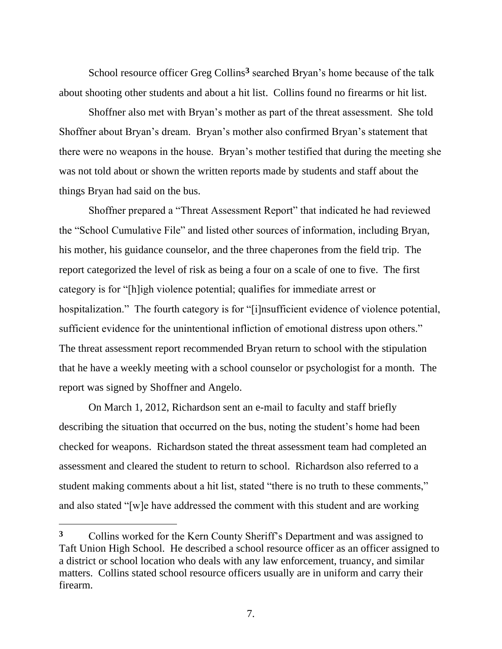School resource officer Greg Collins**<sup>3</sup>** searched Bryan's home because of the talk about shooting other students and about a hit list. Collins found no firearms or hit list.

Shoffner also met with Bryan's mother as part of the threat assessment. She told Shoffner about Bryan's dream. Bryan's mother also confirmed Bryan's statement that there were no weapons in the house. Bryan's mother testified that during the meeting she was not told about or shown the written reports made by students and staff about the things Bryan had said on the bus.

Shoffner prepared a "Threat Assessment Report" that indicated he had reviewed the "School Cumulative File" and listed other sources of information, including Bryan, his mother, his guidance counselor, and the three chaperones from the field trip. The report categorized the level of risk as being a four on a scale of one to five. The first category is for "[h]igh violence potential; qualifies for immediate arrest or hospitalization." The fourth category is for "[i]nsufficient evidence of violence potential, sufficient evidence for the unintentional infliction of emotional distress upon others." The threat assessment report recommended Bryan return to school with the stipulation that he have a weekly meeting with a school counselor or psychologist for a month. The report was signed by Shoffner and Angelo.

On March 1, 2012, Richardson sent an e-mail to faculty and staff briefly describing the situation that occurred on the bus, noting the student's home had been checked for weapons. Richardson stated the threat assessment team had completed an assessment and cleared the student to return to school. Richardson also referred to a student making comments about a hit list, stated "there is no truth to these comments," and also stated "[w]e have addressed the comment with this student and are working

**<sup>3</sup>** Collins worked for the Kern County Sheriff's Department and was assigned to Taft Union High School. He described a school resource officer as an officer assigned to a district or school location who deals with any law enforcement, truancy, and similar matters. Collins stated school resource officers usually are in uniform and carry their firearm.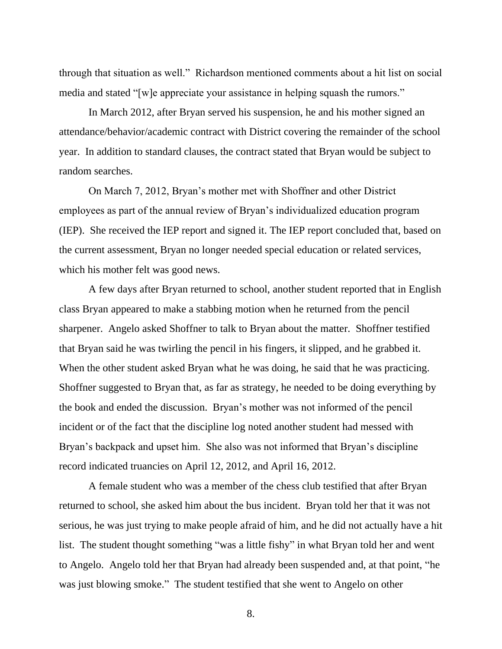through that situation as well." Richardson mentioned comments about a hit list on social media and stated "[w]e appreciate your assistance in helping squash the rumors."

In March 2012, after Bryan served his suspension, he and his mother signed an attendance/behavior/academic contract with District covering the remainder of the school year. In addition to standard clauses, the contract stated that Bryan would be subject to random searches.

On March 7, 2012, Bryan's mother met with Shoffner and other District employees as part of the annual review of Bryan's individualized education program (IEP). She received the IEP report and signed it. The IEP report concluded that, based on the current assessment, Bryan no longer needed special education or related services, which his mother felt was good news.

A few days after Bryan returned to school, another student reported that in English class Bryan appeared to make a stabbing motion when he returned from the pencil sharpener. Angelo asked Shoffner to talk to Bryan about the matter. Shoffner testified that Bryan said he was twirling the pencil in his fingers, it slipped, and he grabbed it. When the other student asked Bryan what he was doing, he said that he was practicing. Shoffner suggested to Bryan that, as far as strategy, he needed to be doing everything by the book and ended the discussion. Bryan's mother was not informed of the pencil incident or of the fact that the discipline log noted another student had messed with Bryan's backpack and upset him. She also was not informed that Bryan's discipline record indicated truancies on April 12, 2012, and April 16, 2012.

A female student who was a member of the chess club testified that after Bryan returned to school, she asked him about the bus incident. Bryan told her that it was not serious, he was just trying to make people afraid of him, and he did not actually have a hit list. The student thought something "was a little fishy" in what Bryan told her and went to Angelo. Angelo told her that Bryan had already been suspended and, at that point, "he was just blowing smoke." The student testified that she went to Angelo on other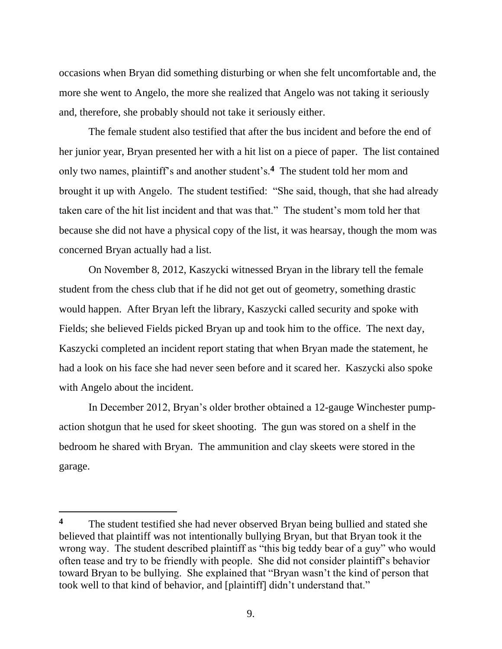occasions when Bryan did something disturbing or when she felt uncomfortable and, the more she went to Angelo, the more she realized that Angelo was not taking it seriously and, therefore, she probably should not take it seriously either.

The female student also testified that after the bus incident and before the end of her junior year, Bryan presented her with a hit list on a piece of paper. The list contained only two names, plaintiff's and another student's.**<sup>4</sup>** The student told her mom and brought it up with Angelo. The student testified: "She said, though, that she had already taken care of the hit list incident and that was that." The student's mom told her that because she did not have a physical copy of the list, it was hearsay, though the mom was concerned Bryan actually had a list.

On November 8, 2012, Kaszycki witnessed Bryan in the library tell the female student from the chess club that if he did not get out of geometry, something drastic would happen. After Bryan left the library, Kaszycki called security and spoke with Fields; she believed Fields picked Bryan up and took him to the office. The next day, Kaszycki completed an incident report stating that when Bryan made the statement, he had a look on his face she had never seen before and it scared her. Kaszycki also spoke with Angelo about the incident.

In December 2012, Bryan's older brother obtained a 12-gauge Winchester pumpaction shotgun that he used for skeet shooting. The gun was stored on a shelf in the bedroom he shared with Bryan. The ammunition and clay skeets were stored in the garage.

**<sup>4</sup>** The student testified she had never observed Bryan being bullied and stated she believed that plaintiff was not intentionally bullying Bryan, but that Bryan took it the wrong way. The student described plaintiff as "this big teddy bear of a guy" who would often tease and try to be friendly with people. She did not consider plaintiff's behavior toward Bryan to be bullying. She explained that "Bryan wasn't the kind of person that took well to that kind of behavior, and [plaintiff] didn't understand that."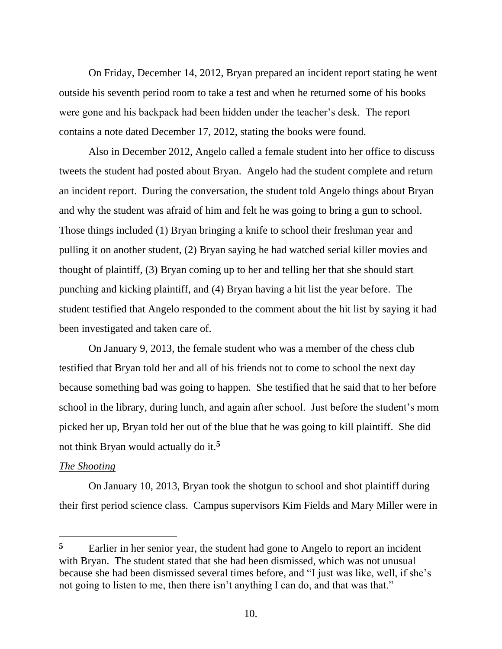On Friday, December 14, 2012, Bryan prepared an incident report stating he went outside his seventh period room to take a test and when he returned some of his books were gone and his backpack had been hidden under the teacher's desk. The report contains a note dated December 17, 2012, stating the books were found.

Also in December 2012, Angelo called a female student into her office to discuss tweets the student had posted about Bryan. Angelo had the student complete and return an incident report. During the conversation, the student told Angelo things about Bryan and why the student was afraid of him and felt he was going to bring a gun to school. Those things included (1) Bryan bringing a knife to school their freshman year and pulling it on another student, (2) Bryan saying he had watched serial killer movies and thought of plaintiff, (3) Bryan coming up to her and telling her that she should start punching and kicking plaintiff, and (4) Bryan having a hit list the year before. The student testified that Angelo responded to the comment about the hit list by saying it had been investigated and taken care of.

On January 9, 2013, the female student who was a member of the chess club testified that Bryan told her and all of his friends not to come to school the next day because something bad was going to happen. She testified that he said that to her before school in the library, during lunch, and again after school. Just before the student's mom picked her up, Bryan told her out of the blue that he was going to kill plaintiff. She did not think Bryan would actually do it.**<sup>5</sup>**

### *The Shooting*

On January 10, 2013, Bryan took the shotgun to school and shot plaintiff during their first period science class. Campus supervisors Kim Fields and Mary Miller were in

**<sup>5</sup>** Earlier in her senior year, the student had gone to Angelo to report an incident with Bryan. The student stated that she had been dismissed, which was not unusual because she had been dismissed several times before, and "I just was like, well, if she's not going to listen to me, then there isn't anything I can do, and that was that."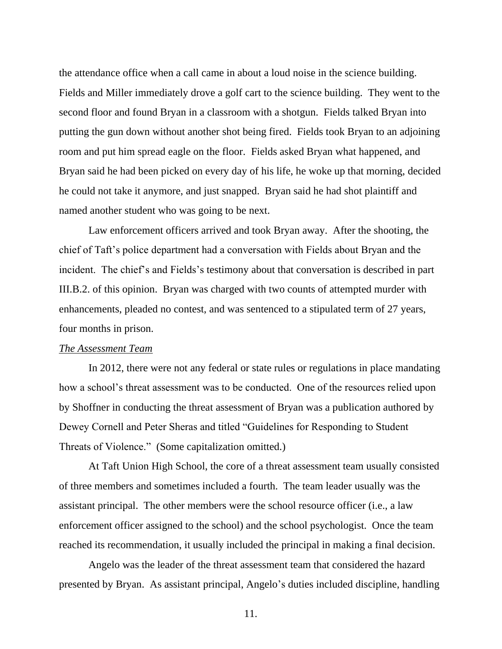the attendance office when a call came in about a loud noise in the science building. Fields and Miller immediately drove a golf cart to the science building. They went to the second floor and found Bryan in a classroom with a shotgun. Fields talked Bryan into putting the gun down without another shot being fired. Fields took Bryan to an adjoining room and put him spread eagle on the floor. Fields asked Bryan what happened, and Bryan said he had been picked on every day of his life, he woke up that morning, decided he could not take it anymore, and just snapped. Bryan said he had shot plaintiff and named another student who was going to be next.

Law enforcement officers arrived and took Bryan away. After the shooting, the chief of Taft's police department had a conversation with Fields about Bryan and the incident. The chief's and Fields's testimony about that conversation is described in part III.B.2. of this opinion. Bryan was charged with two counts of attempted murder with enhancements, pleaded no contest, and was sentenced to a stipulated term of 27 years, four months in prison.

#### *The Assessment Team*

In 2012, there were not any federal or state rules or regulations in place mandating how a school's threat assessment was to be conducted. One of the resources relied upon by Shoffner in conducting the threat assessment of Bryan was a publication authored by Dewey Cornell and Peter Sheras and titled "Guidelines for Responding to Student Threats of Violence." (Some capitalization omitted.)

At Taft Union High School, the core of a threat assessment team usually consisted of three members and sometimes included a fourth. The team leader usually was the assistant principal. The other members were the school resource officer (i.e., a law enforcement officer assigned to the school) and the school psychologist. Once the team reached its recommendation, it usually included the principal in making a final decision.

Angelo was the leader of the threat assessment team that considered the hazard presented by Bryan. As assistant principal, Angelo's duties included discipline, handling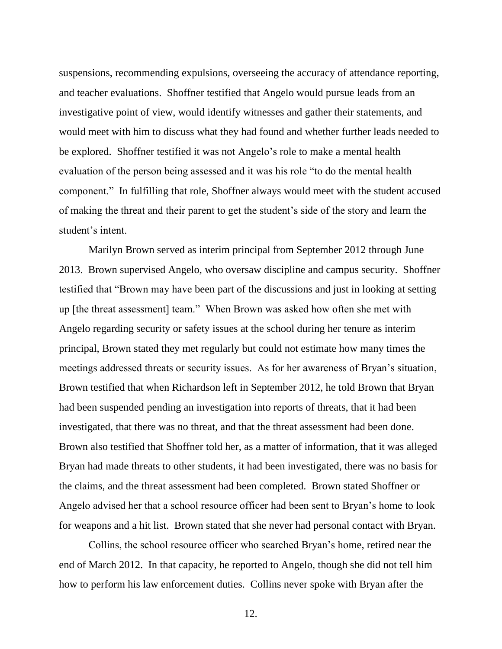suspensions, recommending expulsions, overseeing the accuracy of attendance reporting, and teacher evaluations. Shoffner testified that Angelo would pursue leads from an investigative point of view, would identify witnesses and gather their statements, and would meet with him to discuss what they had found and whether further leads needed to be explored. Shoffner testified it was not Angelo's role to make a mental health evaluation of the person being assessed and it was his role "to do the mental health component." In fulfilling that role, Shoffner always would meet with the student accused of making the threat and their parent to get the student's side of the story and learn the student's intent.

Marilyn Brown served as interim principal from September 2012 through June 2013. Brown supervised Angelo, who oversaw discipline and campus security. Shoffner testified that "Brown may have been part of the discussions and just in looking at setting up [the threat assessment] team." When Brown was asked how often she met with Angelo regarding security or safety issues at the school during her tenure as interim principal, Brown stated they met regularly but could not estimate how many times the meetings addressed threats or security issues. As for her awareness of Bryan's situation, Brown testified that when Richardson left in September 2012, he told Brown that Bryan had been suspended pending an investigation into reports of threats, that it had been investigated, that there was no threat, and that the threat assessment had been done. Brown also testified that Shoffner told her, as a matter of information, that it was alleged Bryan had made threats to other students, it had been investigated, there was no basis for the claims, and the threat assessment had been completed. Brown stated Shoffner or Angelo advised her that a school resource officer had been sent to Bryan's home to look for weapons and a hit list. Brown stated that she never had personal contact with Bryan.

Collins, the school resource officer who searched Bryan's home, retired near the end of March 2012. In that capacity, he reported to Angelo, though she did not tell him how to perform his law enforcement duties. Collins never spoke with Bryan after the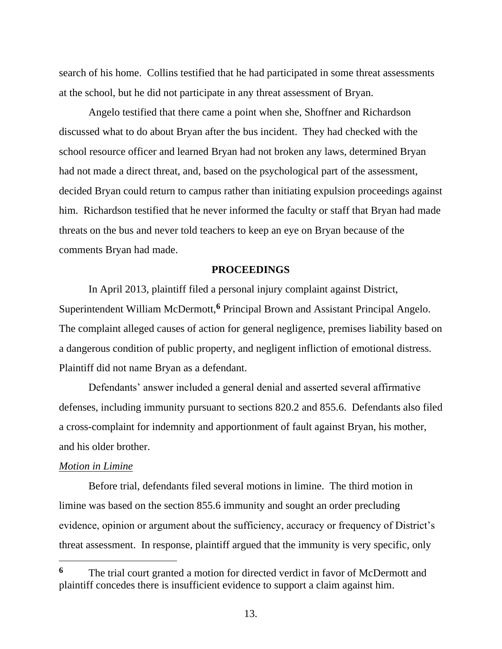search of his home. Collins testified that he had participated in some threat assessments at the school, but he did not participate in any threat assessment of Bryan.

Angelo testified that there came a point when she, Shoffner and Richardson discussed what to do about Bryan after the bus incident. They had checked with the school resource officer and learned Bryan had not broken any laws, determined Bryan had not made a direct threat, and, based on the psychological part of the assessment, decided Bryan could return to campus rather than initiating expulsion proceedings against him. Richardson testified that he never informed the faculty or staff that Bryan had made threats on the bus and never told teachers to keep an eye on Bryan because of the comments Bryan had made.

#### **PROCEEDINGS**

In April 2013, plaintiff filed a personal injury complaint against District, Superintendent William McDermott,**<sup>6</sup>** Principal Brown and Assistant Principal Angelo. The complaint alleged causes of action for general negligence, premises liability based on a dangerous condition of public property, and negligent infliction of emotional distress. Plaintiff did not name Bryan as a defendant.

Defendants' answer included a general denial and asserted several affirmative defenses, including immunity pursuant to sections 820.2 and 855.6. Defendants also filed a cross-complaint for indemnity and apportionment of fault against Bryan, his mother, and his older brother.

#### *Motion in Limine*

Before trial, defendants filed several motions in limine. The third motion in limine was based on the section 855.6 immunity and sought an order precluding evidence, opinion or argument about the sufficiency, accuracy or frequency of District's threat assessment. In response, plaintiff argued that the immunity is very specific, only

**<sup>6</sup>** The trial court granted a motion for directed verdict in favor of McDermott and plaintiff concedes there is insufficient evidence to support a claim against him.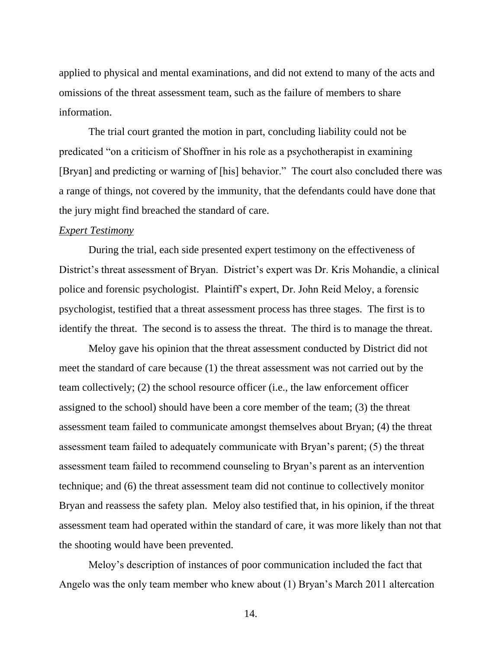applied to physical and mental examinations, and did not extend to many of the acts and omissions of the threat assessment team, such as the failure of members to share information.

The trial court granted the motion in part, concluding liability could not be predicated "on a criticism of Shoffner in his role as a psychotherapist in examining [Bryan] and predicting or warning of [his] behavior." The court also concluded there was a range of things, not covered by the immunity, that the defendants could have done that the jury might find breached the standard of care.

#### *Expert Testimony*

During the trial, each side presented expert testimony on the effectiveness of District's threat assessment of Bryan. District's expert was Dr. Kris Mohandie, a clinical police and forensic psychologist. Plaintiff's expert, Dr. John Reid Meloy, a forensic psychologist, testified that a threat assessment process has three stages. The first is to identify the threat. The second is to assess the threat. The third is to manage the threat.

Meloy gave his opinion that the threat assessment conducted by District did not meet the standard of care because (1) the threat assessment was not carried out by the team collectively; (2) the school resource officer (i.e., the law enforcement officer assigned to the school) should have been a core member of the team; (3) the threat assessment team failed to communicate amongst themselves about Bryan; (4) the threat assessment team failed to adequately communicate with Bryan's parent; (5) the threat assessment team failed to recommend counseling to Bryan's parent as an intervention technique; and (6) the threat assessment team did not continue to collectively monitor Bryan and reassess the safety plan. Meloy also testified that, in his opinion, if the threat assessment team had operated within the standard of care, it was more likely than not that the shooting would have been prevented.

Meloy's description of instances of poor communication included the fact that Angelo was the only team member who knew about (1) Bryan's March 2011 altercation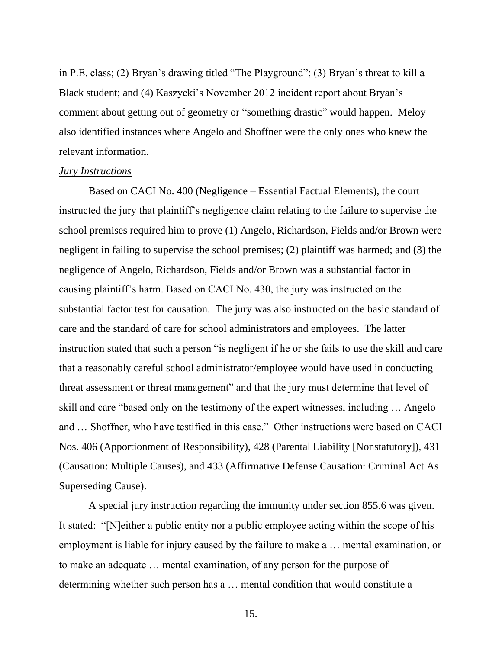in P.E. class; (2) Bryan's drawing titled "The Playground"; (3) Bryan's threat to kill a Black student; and (4) Kaszycki's November 2012 incident report about Bryan's comment about getting out of geometry or "something drastic" would happen. Meloy also identified instances where Angelo and Shoffner were the only ones who knew the relevant information.

#### *Jury Instructions*

Based on CACI No. 400 (Negligence – Essential Factual Elements), the court instructed the jury that plaintiff's negligence claim relating to the failure to supervise the school premises required him to prove (1) Angelo, Richardson, Fields and/or Brown were negligent in failing to supervise the school premises; (2) plaintiff was harmed; and (3) the negligence of Angelo, Richardson, Fields and/or Brown was a substantial factor in causing plaintiff's harm. Based on CACI No. 430, the jury was instructed on the substantial factor test for causation. The jury was also instructed on the basic standard of care and the standard of care for school administrators and employees. The latter instruction stated that such a person "is negligent if he or she fails to use the skill and care that a reasonably careful school administrator/employee would have used in conducting threat assessment or threat management" and that the jury must determine that level of skill and care "based only on the testimony of the expert witnesses, including … Angelo and … Shoffner, who have testified in this case." Other instructions were based on CACI Nos. 406 (Apportionment of Responsibility), 428 (Parental Liability [Nonstatutory]), 431 (Causation: Multiple Causes), and 433 (Affirmative Defense Causation: Criminal Act As Superseding Cause).

A special jury instruction regarding the immunity under section 855.6 was given. It stated: "[N]either a public entity nor a public employee acting within the scope of his employment is liable for injury caused by the failure to make a … mental examination, or to make an adequate … mental examination, of any person for the purpose of determining whether such person has a … mental condition that would constitute a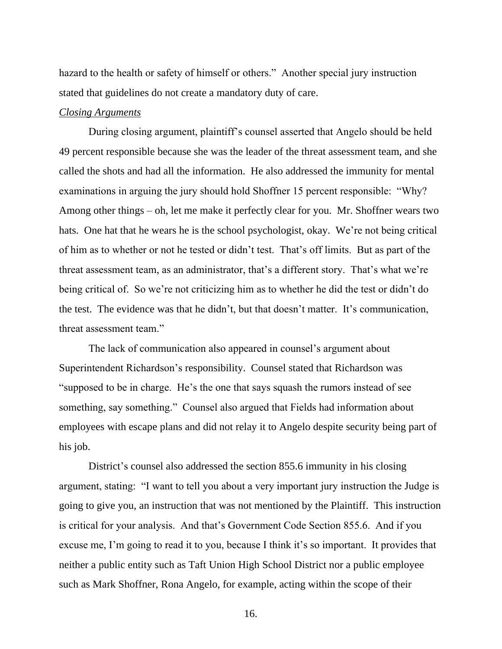hazard to the health or safety of himself or others." Another special jury instruction stated that guidelines do not create a mandatory duty of care.

#### *Closing Arguments*

During closing argument, plaintiff's counsel asserted that Angelo should be held 49 percent responsible because she was the leader of the threat assessment team, and she called the shots and had all the information. He also addressed the immunity for mental examinations in arguing the jury should hold Shoffner 15 percent responsible: "Why? Among other things – oh, let me make it perfectly clear for you. Mr. Shoffner wears two hats. One hat that he wears he is the school psychologist, okay. We're not being critical of him as to whether or not he tested or didn't test. That's off limits. But as part of the threat assessment team, as an administrator, that's a different story. That's what we're being critical of. So we're not criticizing him as to whether he did the test or didn't do the test. The evidence was that he didn't, but that doesn't matter. It's communication, threat assessment team."

The lack of communication also appeared in counsel's argument about Superintendent Richardson's responsibility. Counsel stated that Richardson was "supposed to be in charge. He's the one that says squash the rumors instead of see something, say something." Counsel also argued that Fields had information about employees with escape plans and did not relay it to Angelo despite security being part of his job.

District's counsel also addressed the section 855.6 immunity in his closing argument, stating: "I want to tell you about a very important jury instruction the Judge is going to give you, an instruction that was not mentioned by the Plaintiff. This instruction is critical for your analysis. And that's Government Code Section 855.6. And if you excuse me, I'm going to read it to you, because I think it's so important. It provides that neither a public entity such as Taft Union High School District nor a public employee such as Mark Shoffner, Rona Angelo, for example, acting within the scope of their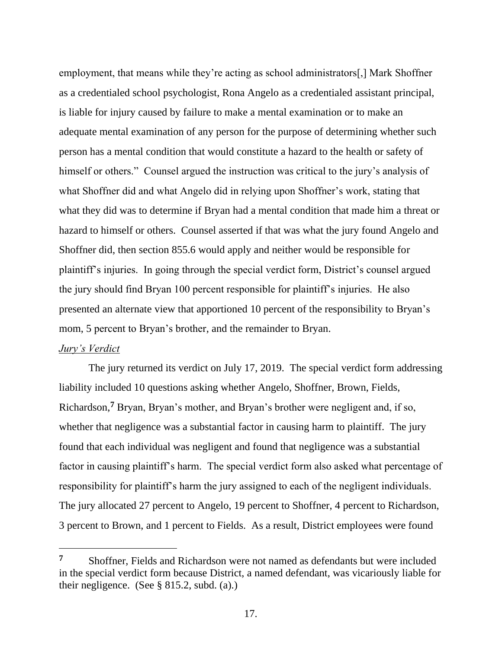employment, that means while they're acting as school administrators[,] Mark Shoffner as a credentialed school psychologist, Rona Angelo as a credentialed assistant principal, is liable for injury caused by failure to make a mental examination or to make an adequate mental examination of any person for the purpose of determining whether such person has a mental condition that would constitute a hazard to the health or safety of himself or others." Counsel argued the instruction was critical to the jury's analysis of what Shoffner did and what Angelo did in relying upon Shoffner's work, stating that what they did was to determine if Bryan had a mental condition that made him a threat or hazard to himself or others. Counsel asserted if that was what the jury found Angelo and Shoffner did, then section 855.6 would apply and neither would be responsible for plaintiff's injuries. In going through the special verdict form, District's counsel argued the jury should find Bryan 100 percent responsible for plaintiff's injuries. He also presented an alternate view that apportioned 10 percent of the responsibility to Bryan's mom, 5 percent to Bryan's brother, and the remainder to Bryan.

#### *Jury's Verdict*

The jury returned its verdict on July 17, 2019. The special verdict form addressing liability included 10 questions asking whether Angelo, Shoffner, Brown, Fields, Richardson,**<sup>7</sup>** Bryan, Bryan's mother, and Bryan's brother were negligent and, if so, whether that negligence was a substantial factor in causing harm to plaintiff. The jury found that each individual was negligent and found that negligence was a substantial factor in causing plaintiff's harm. The special verdict form also asked what percentage of responsibility for plaintiff's harm the jury assigned to each of the negligent individuals. The jury allocated 27 percent to Angelo, 19 percent to Shoffner, 4 percent to Richardson, 3 percent to Brown, and 1 percent to Fields. As a result, District employees were found

**<sup>7</sup>** Shoffner, Fields and Richardson were not named as defendants but were included in the special verdict form because District, a named defendant, was vicariously liable for their negligence. (See § 815.2, subd. (a).)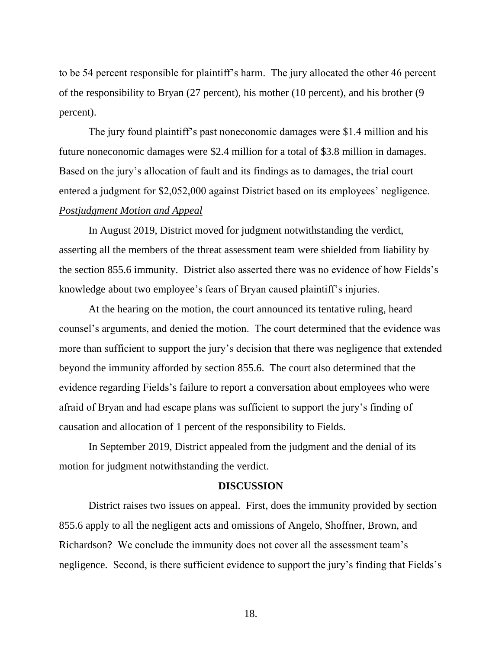to be 54 percent responsible for plaintiff's harm. The jury allocated the other 46 percent of the responsibility to Bryan (27 percent), his mother (10 percent), and his brother (9 percent).

The jury found plaintiff's past noneconomic damages were \$1.4 million and his future noneconomic damages were \$2.4 million for a total of \$3.8 million in damages. Based on the jury's allocation of fault and its findings as to damages, the trial court entered a judgment for \$2,052,000 against District based on its employees' negligence. *Postjudgment Motion and Appeal*

In August 2019, District moved for judgment notwithstanding the verdict, asserting all the members of the threat assessment team were shielded from liability by the section 855.6 immunity. District also asserted there was no evidence of how Fields's knowledge about two employee's fears of Bryan caused plaintiff's injuries.

At the hearing on the motion, the court announced its tentative ruling, heard counsel's arguments, and denied the motion. The court determined that the evidence was more than sufficient to support the jury's decision that there was negligence that extended beyond the immunity afforded by section 855.6. The court also determined that the evidence regarding Fields's failure to report a conversation about employees who were afraid of Bryan and had escape plans was sufficient to support the jury's finding of causation and allocation of 1 percent of the responsibility to Fields.

In September 2019, District appealed from the judgment and the denial of its motion for judgment notwithstanding the verdict.

#### **DISCUSSION**

District raises two issues on appeal. First, does the immunity provided by section 855.6 apply to all the negligent acts and omissions of Angelo, Shoffner, Brown, and Richardson? We conclude the immunity does not cover all the assessment team's negligence. Second, is there sufficient evidence to support the jury's finding that Fields's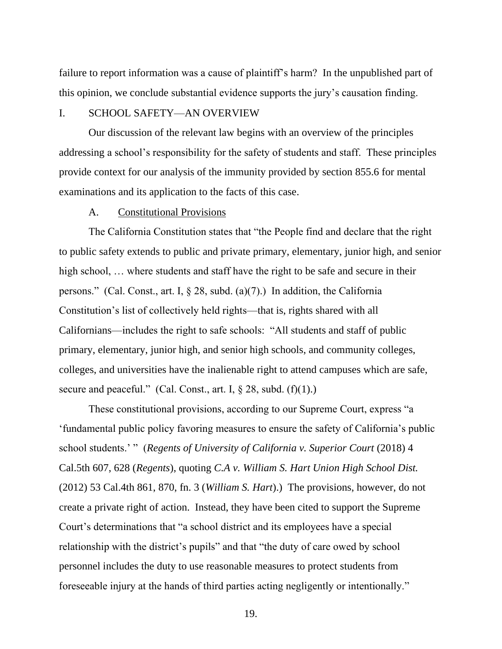failure to report information was a cause of plaintiff's harm? In the unpublished part of this opinion, we conclude substantial evidence supports the jury's causation finding.

# I. SCHOOL SAFETY—AN OVERVIEW

Our discussion of the relevant law begins with an overview of the principles addressing a school's responsibility for the safety of students and staff. These principles provide context for our analysis of the immunity provided by section 855.6 for mental examinations and its application to the facts of this case.

#### A. Constitutional Provisions

The California Constitution states that "the People find and declare that the right to public safety extends to public and private primary, elementary, junior high, and senior high school, ... where students and staff have the right to be safe and secure in their persons." (Cal. Const., art. I, § 28, subd. (a)(7).) In addition, the California Constitution's list of collectively held rights—that is, rights shared with all Californians—includes the right to safe schools: "All students and staff of public primary, elementary, junior high, and senior high schools, and community colleges, colleges, and universities have the inalienable right to attend campuses which are safe, secure and peaceful." (Cal. Const., art. I,  $\S 28$ , subd. (f)(1).)

These constitutional provisions, according to our Supreme Court, express "a 'fundamental public policy favoring measures to ensure the safety of California's public school students.' " (*Regents of University of California v. Superior Court* (2018) 4 Cal.5th 607, 628 (*Regents*), quoting *C.A v. William S. Hart Union High School Dist.* (2012) 53 Cal.4th 861, 870, fn. 3 (*William S. Hart*).) The provisions, however, do not create a private right of action. Instead, they have been cited to support the Supreme Court's determinations that "a school district and its employees have a special relationship with the district's pupils" and that "the duty of care owed by school personnel includes the duty to use reasonable measures to protect students from foreseeable injury at the hands of third parties acting negligently or intentionally."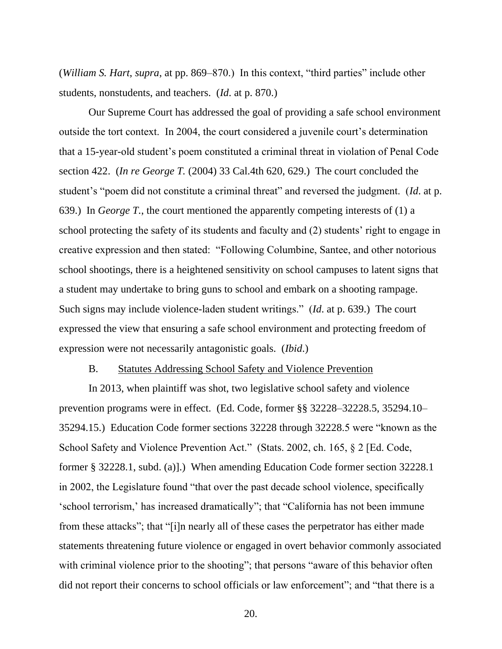(*William S. Hart*, *supra*, at pp. 869–870.) In this context, "third parties" include other students, nonstudents, and teachers. (*Id*. at p. 870.)

Our Supreme Court has addressed the goal of providing a safe school environment outside the tort context. In 2004, the court considered a juvenile court's determination that a 15-year-old student's poem constituted a criminal threat in violation of Penal Code section 422. (*In re George T.* (2004) 33 Cal.4th 620, 629.) The court concluded the student's "poem did not constitute a criminal threat" and reversed the judgment. (*Id*. at p. 639.) In *George T.*, the court mentioned the apparently competing interests of (1) a school protecting the safety of its students and faculty and (2) students' right to engage in creative expression and then stated: "Following Columbine, Santee, and other notorious school shootings, there is a heightened sensitivity on school campuses to latent signs that a student may undertake to bring guns to school and embark on a shooting rampage. Such signs may include violence-laden student writings." (*Id*. at p. 639.) The court expressed the view that ensuring a safe school environment and protecting freedom of expression were not necessarily antagonistic goals. (*Ibid*.)

#### B. Statutes Addressing School Safety and Violence Prevention

In 2013, when plaintiff was shot, two legislative school safety and violence prevention programs were in effect. (Ed. Code, former §§ 32228–32228.5, 35294.10– 35294.15.) Education Code former sections 32228 through 32228.5 were "known as the School Safety and Violence Prevention Act." (Stats. 2002, ch. 165, § 2 [Ed. Code, former § 32228.1, subd. (a)].) When amending Education Code former section 32228.1 in 2002, the Legislature found "that over the past decade school violence, specifically 'school terrorism,' has increased dramatically"; that "California has not been immune from these attacks"; that "[i]n nearly all of these cases the perpetrator has either made statements threatening future violence or engaged in overt behavior commonly associated with criminal violence prior to the shooting"; that persons "aware of this behavior often did not report their concerns to school officials or law enforcement"; and "that there is a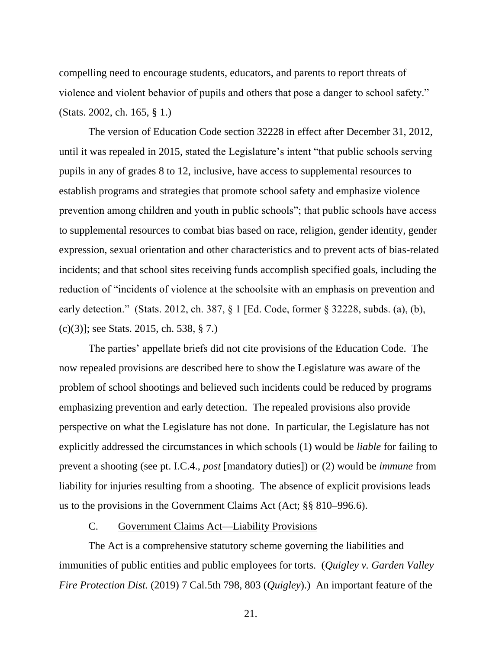compelling need to encourage students, educators, and parents to report threats of violence and violent behavior of pupils and others that pose a danger to school safety." (Stats. 2002, ch. 165, § 1.)

The version of Education Code section 32228 in effect after December 31, 2012, until it was repealed in 2015, stated the Legislature's intent "that public schools serving pupils in any of grades 8 to 12, inclusive, have access to supplemental resources to establish programs and strategies that promote school safety and emphasize violence prevention among children and youth in public schools"; that public schools have access to supplemental resources to combat bias based on race, religion, gender identity, gender expression, sexual orientation and other characteristics and to prevent acts of bias-related incidents; and that school sites receiving funds accomplish specified goals, including the reduction of "incidents of violence at the schoolsite with an emphasis on prevention and early detection." (Stats. 2012, ch. 387, § 1 [Ed. Code, former § 32228, subds. (a), (b), (c)(3)]; see Stats. 2015, ch. 538, § 7.)

The parties' appellate briefs did not cite provisions of the Education Code. The now repealed provisions are described here to show the Legislature was aware of the problem of school shootings and believed such incidents could be reduced by programs emphasizing prevention and early detection. The repealed provisions also provide perspective on what the Legislature has not done. In particular, the Legislature has not explicitly addressed the circumstances in which schools (1) would be *liable* for failing to prevent a shooting (see pt. I.C.4., *post* [mandatory duties]) or (2) would be *immune* from liability for injuries resulting from a shooting. The absence of explicit provisions leads us to the provisions in the Government Claims Act (Act; §§ 810–996.6).

### C. Government Claims Act—Liability Provisions

The Act is a comprehensive statutory scheme governing the liabilities and immunities of public entities and public employees for torts. (*Quigley v. Garden Valley Fire Protection Dist.* (2019) 7 Cal.5th 798, 803 (*Quigley*).) An important feature of the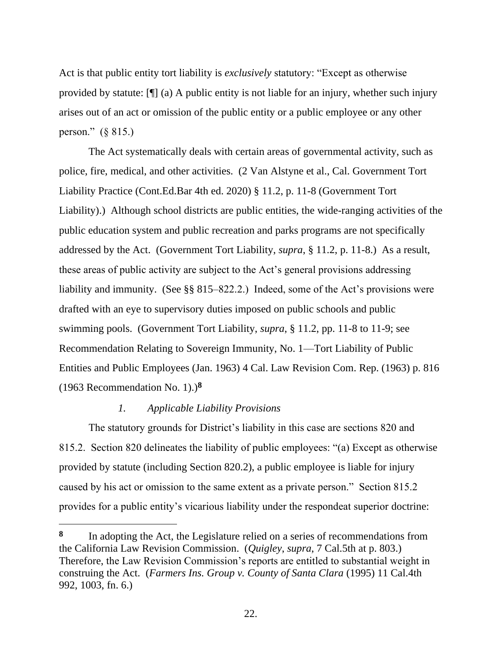Act is that public entity tort liability is *exclusively* statutory: "Except as otherwise provided by statute: [¶] (a) A public entity is not liable for an injury, whether such injury arises out of an act or omission of the public entity or a public employee or any other person." (§ 815.)

The Act systematically deals with certain areas of governmental activity, such as police, fire, medical, and other activities. (2 Van Alstyne et al., Cal. Government Tort Liability Practice (Cont.Ed.Bar 4th ed. 2020) § 11.2, p. 11-8 (Government Tort Liability).) Although school districts are public entities, the wide-ranging activities of the public education system and public recreation and parks programs are not specifically addressed by the Act. (Government Tort Liability, *supra*, § 11.2, p. 11-8.) As a result, these areas of public activity are subject to the Act's general provisions addressing liability and immunity. (See §§ 815–822.2.) Indeed, some of the Act's provisions were drafted with an eye to supervisory duties imposed on public schools and public swimming pools. (Government Tort Liability, *supra*, § 11.2, pp. 11-8 to 11-9; see Recommendation Relating to Sovereign Immunity, No. 1—Tort Liability of Public Entities and Public Employees (Jan. 1963) 4 Cal. Law Revision Com. Rep. (1963) p. 816 (1963 Recommendation No. 1).)**<sup>8</sup>**

# *1. Applicable Liability Provisions*

The statutory grounds for District's liability in this case are sections 820 and 815.2. Section 820 delineates the liability of public employees: "(a) Except as otherwise provided by statute (including Section 820.2), a public employee is liable for injury caused by his act or omission to the same extent as a private person." Section 815.2 provides for a public entity's vicarious liability under the respondeat superior doctrine:

**<sup>8</sup>** In adopting the Act, the Legislature relied on a series of recommendations from the California Law Revision Commission. (*Quigley*, *supra*, 7 Cal.5th at p. 803.) Therefore, the Law Revision Commission's reports are entitled to substantial weight in construing the Act. (*Farmers Ins. Group v. County of Santa Clara* (1995) 11 Cal.4th 992, 1003, fn. 6.)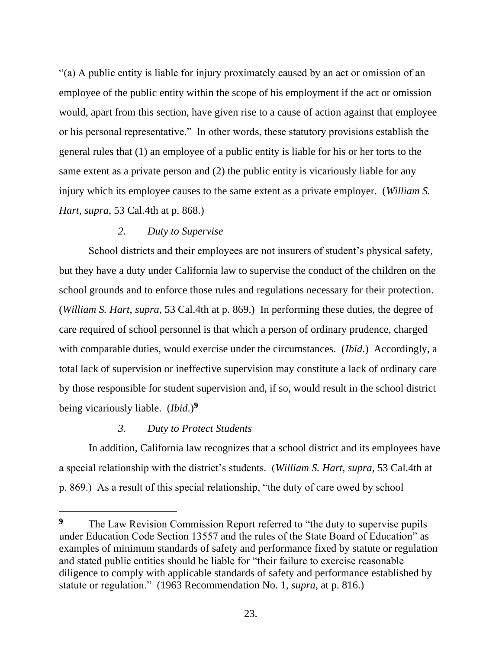"(a) A public entity is liable for injury proximately caused by an act or omission of an employee of the public entity within the scope of his employment if the act or omission would, apart from this section, have given rise to a cause of action against that employee or his personal representative." In other words, these statutory provisions establish the general rules that (1) an employee of a public entity is liable for his or her torts to the same extent as a private person and (2) the public entity is vicariously liable for any injury which its employee causes to the same extent as a private employer. (*William S. Hart*, *supra*, 53 Cal.4th at p. 868.)

# *2. Duty to Supervise*

School districts and their employees are not insurers of student's physical safety, but they have a duty under California law to supervise the conduct of the children on the school grounds and to enforce those rules and regulations necessary for their protection. (*William S. Hart*, *supra*, 53 Cal.4th at p. 869.) In performing these duties, the degree of care required of school personnel is that which a person of ordinary prudence, charged with comparable duties, would exercise under the circumstances. (*Ibid*.) Accordingly, a total lack of supervision or ineffective supervision may constitute a lack of ordinary care by those responsible for student supervision and, if so, would result in the school district being vicariously liable. (*Ibid*.)**<sup>9</sup>**

# *3. Duty to Protect Students*

In addition, California law recognizes that a school district and its employees have a special relationship with the district's students. (*William S. Hart*, *supra*, 53 Cal.4th at p. 869.) As a result of this special relationship, "the duty of care owed by school

**<sup>9</sup>** The Law Revision Commission Report referred to "the duty to supervise pupils under Education Code Section 13557 and the rules of the State Board of Education" as examples of minimum standards of safety and performance fixed by statute or regulation and stated public entities should be liable for "their failure to exercise reasonable diligence to comply with applicable standards of safety and performance established by statute or regulation." (1963 Recommendation No. 1, *supra*, at p. 816.)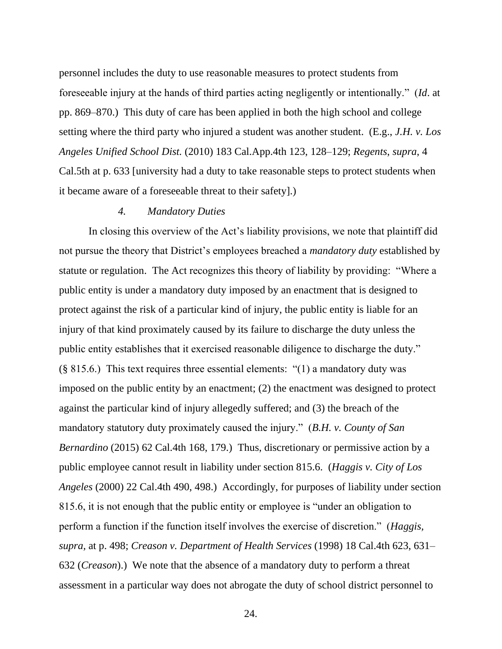personnel includes the duty to use reasonable measures to protect students from foreseeable injury at the hands of third parties acting negligently or intentionally." (*Id*. at pp. 869–870.) This duty of care has been applied in both the high school and college setting where the third party who injured a student was another student. (E.g., *J.H. v. Los Angeles Unified School Dist.* (2010) 183 Cal.App.4th 123, 128–129; *Regents*, *supra*, 4 Cal.5th at p. 633 [university had a duty to take reasonable steps to protect students when it became aware of a foreseeable threat to their safety].)

### *4. Mandatory Duties*

In closing this overview of the Act's liability provisions, we note that plaintiff did not pursue the theory that District's employees breached a *mandatory duty* established by statute or regulation. The Act recognizes this theory of liability by providing: "Where a public entity is under a mandatory duty imposed by an enactment that is designed to protect against the risk of a particular kind of injury, the public entity is liable for an injury of that kind proximately caused by its failure to discharge the duty unless the public entity establishes that it exercised reasonable diligence to discharge the duty." (§ 815.6.) This text requires three essential elements: "(1) a mandatory duty was imposed on the public entity by an enactment; (2) the enactment was designed to protect against the particular kind of injury allegedly suffered; and (3) the breach of the mandatory statutory duty proximately caused the injury." (*B.H. v. County of San Bernardino* (2015) 62 Cal.4th 168, 179.) Thus, discretionary or permissive action by a public employee cannot result in liability under section 815.6. (*Haggis v. City of Los Angeles* (2000) 22 Cal.4th 490, 498.) Accordingly, for purposes of liability under section 815.6, it is not enough that the public entity or employee is "under an obligation to perform a function if the function itself involves the exercise of discretion." (*Haggis, supra,* at p. 498; *Creason v. Department of Health Services* (1998) 18 Cal.4th 623, 631– 632 (*Creason*).) We note that the absence of a mandatory duty to perform a threat assessment in a particular way does not abrogate the duty of school district personnel to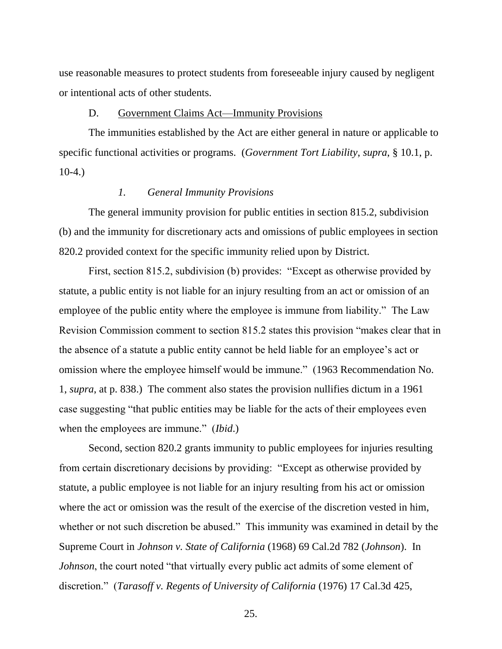use reasonable measures to protect students from foreseeable injury caused by negligent or intentional acts of other students.

### D. Government Claims Act—Immunity Provisions

The immunities established by the Act are either general in nature or applicable to specific functional activities or programs. (*Government Tort Liability*, *supra*, § 10.1, p. 10-4.)

#### *1. General Immunity Provisions*

The general immunity provision for public entities in section 815.2, subdivision (b) and the immunity for discretionary acts and omissions of public employees in section 820.2 provided context for the specific immunity relied upon by District.

First, section 815.2, subdivision (b) provides: "Except as otherwise provided by statute, a public entity is not liable for an injury resulting from an act or omission of an employee of the public entity where the employee is immune from liability." The Law Revision Commission comment to section 815.2 states this provision "makes clear that in the absence of a statute a public entity cannot be held liable for an employee's act or omission where the employee himself would be immune." (1963 Recommendation No. 1, *supra*, at p. 838.) The comment also states the provision nullifies dictum in a 1961 case suggesting "that public entities may be liable for the acts of their employees even when the employees are immune." (*Ibid*.)

Second, section 820.2 grants immunity to public employees for injuries resulting from certain discretionary decisions by providing: "Except as otherwise provided by statute, a public employee is not liable for an injury resulting from his act or omission where the act or omission was the result of the exercise of the discretion vested in him, whether or not such discretion be abused." This immunity was examined in detail by the Supreme Court in *Johnson v. State of California* (1968) 69 Cal.2d 782 (*Johnson*). In *Johnson*, the court noted "that virtually every public act admits of some element of discretion." (*Tarasoff v. Regents of University of California* (1976) 17 Cal.3d 425,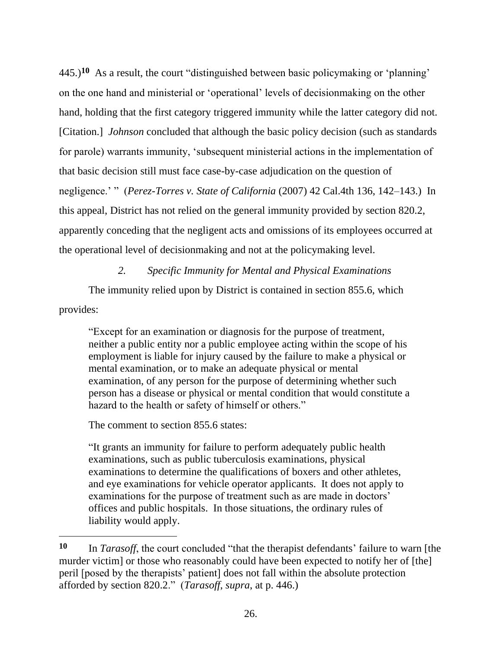445.)**<sup>10</sup>** As a result, the court "distinguished between basic policymaking or 'planning' on the one hand and ministerial or 'operational' levels of decisionmaking on the other hand, holding that the first category triggered immunity while the latter category did not. [Citation.] *Johnson* concluded that although the basic policy decision (such as standards for parole) warrants immunity, 'subsequent ministerial actions in the implementation of that basic decision still must face case-by-case adjudication on the question of negligence.' " (*Perez-Torres v. State of California* (2007) 42 Cal.4th 136, 142–143.) In this appeal, District has not relied on the general immunity provided by section 820.2, apparently conceding that the negligent acts and omissions of its employees occurred at the operational level of decisionmaking and not at the policymaking level.

### *2. Specific Immunity for Mental and Physical Examinations*

The immunity relied upon by District is contained in section 855.6, which provides:

"Except for an examination or diagnosis for the purpose of treatment, neither a public entity nor a public employee acting within the scope of his employment is liable for injury caused by the failure to make a physical or mental examination, or to make an adequate physical or mental examination, of any person for the purpose of determining whether such person has a disease or physical or mental condition that would constitute a hazard to the health or safety of himself or others."

The comment to section 855.6 states:

"It grants an immunity for failure to perform adequately public health examinations, such as public tuberculosis examinations, physical examinations to determine the qualifications of boxers and other athletes, and eye examinations for vehicle operator applicants. It does not apply to examinations for the purpose of treatment such as are made in doctors' offices and public hospitals. In those situations, the ordinary rules of liability would apply.

**<sup>10</sup>** In *Tarasoff*, the court concluded "that the therapist defendants' failure to warn [the murder victim] or those who reasonably could have been expected to notify her of [the] peril [posed by the therapists' patient] does not fall within the absolute protection afforded by section 820.2." (*Tarasoff*, *supra*, at p. 446.)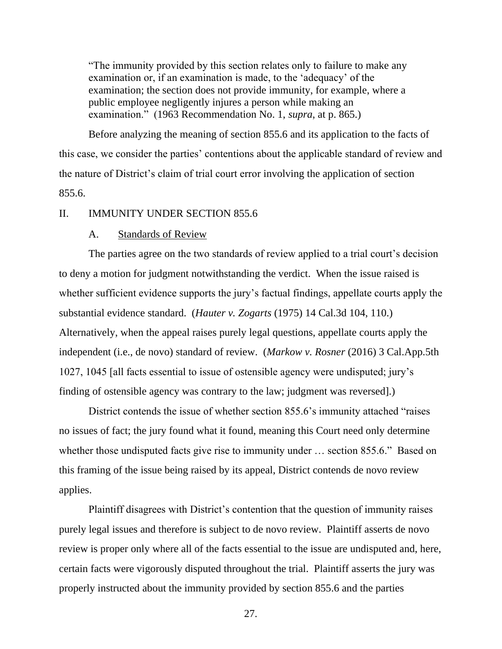"The immunity provided by this section relates only to failure to make any examination or, if an examination is made, to the 'adequacy' of the examination; the section does not provide immunity, for example, where a public employee negligently injures a person while making an examination." (1963 Recommendation No. 1, *supra*, at p. 865.)

Before analyzing the meaning of section 855.6 and its application to the facts of this case, we consider the parties' contentions about the applicable standard of review and the nature of District's claim of trial court error involving the application of section 855.6.

## II. IMMUNITY UNDER SECTION 855.6

### A. Standards of Review

The parties agree on the two standards of review applied to a trial court's decision to deny a motion for judgment notwithstanding the verdict. When the issue raised is whether sufficient evidence supports the jury's factual findings, appellate courts apply the substantial evidence standard. (*Hauter v. Zogarts* (1975) 14 Cal.3d 104, 110.) Alternatively, when the appeal raises purely legal questions, appellate courts apply the independent (i.e., de novo) standard of review. (*Markow v. Rosner* (2016) 3 Cal.App.5th 1027, 1045 [all facts essential to issue of ostensible agency were undisputed; jury's finding of ostensible agency was contrary to the law; judgment was reversed].)

District contends the issue of whether section 855.6's immunity attached "raises no issues of fact; the jury found what it found, meaning this Court need only determine whether those undisputed facts give rise to immunity under … section 855.6." Based on this framing of the issue being raised by its appeal, District contends de novo review applies.

Plaintiff disagrees with District's contention that the question of immunity raises purely legal issues and therefore is subject to de novo review. Plaintiff asserts de novo review is proper only where all of the facts essential to the issue are undisputed and, here, certain facts were vigorously disputed throughout the trial. Plaintiff asserts the jury was properly instructed about the immunity provided by section 855.6 and the parties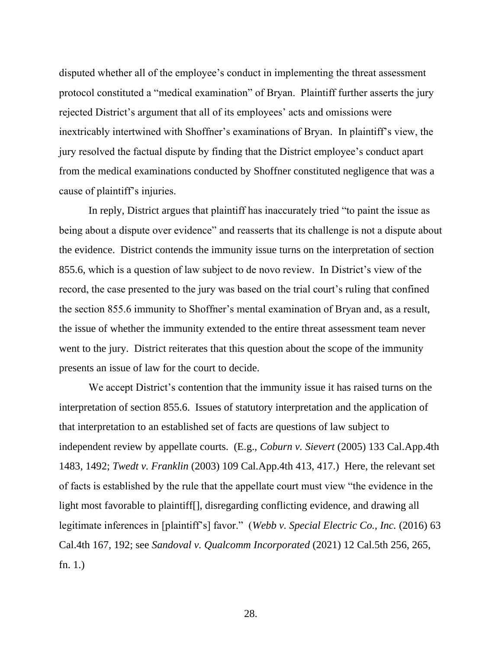disputed whether all of the employee's conduct in implementing the threat assessment protocol constituted a "medical examination" of Bryan. Plaintiff further asserts the jury rejected District's argument that all of its employees' acts and omissions were inextricably intertwined with Shoffner's examinations of Bryan. In plaintiff's view, the jury resolved the factual dispute by finding that the District employee's conduct apart from the medical examinations conducted by Shoffner constituted negligence that was a cause of plaintiff's injuries.

In reply, District argues that plaintiff has inaccurately tried "to paint the issue as being about a dispute over evidence" and reasserts that its challenge is not a dispute about the evidence. District contends the immunity issue turns on the interpretation of section 855.6, which is a question of law subject to de novo review. In District's view of the record, the case presented to the jury was based on the trial court's ruling that confined the section 855.6 immunity to Shoffner's mental examination of Bryan and, as a result, the issue of whether the immunity extended to the entire threat assessment team never went to the jury. District reiterates that this question about the scope of the immunity presents an issue of law for the court to decide.

We accept District's contention that the immunity issue it has raised turns on the interpretation of section 855.6. Issues of statutory interpretation and the application of that interpretation to an established set of facts are questions of law subject to independent review by appellate courts. (E.g., *Coburn v. Sievert* (2005) 133 Cal.App.4th 1483, 1492; *Twedt v. Franklin* (2003) 109 Cal.App.4th 413, 417.) Here, the relevant set of facts is established by the rule that the appellate court must view "the evidence in the light most favorable to plaintiff[], disregarding conflicting evidence, and drawing all legitimate inferences in [plaintiff's] favor." (*Webb v. Special Electric Co., Inc.* (2016) 63 Cal.4th 167, 192; see *Sandoval v. Qualcomm Incorporated* (2021) 12 Cal.5th 256, 265, fn. 1.)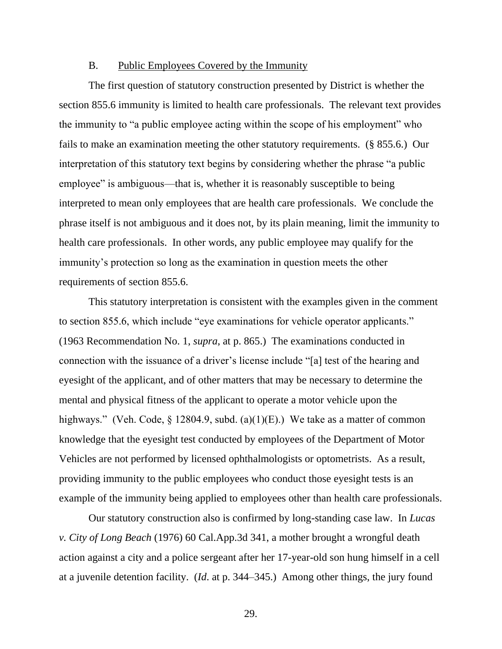### B. Public Employees Covered by the Immunity

The first question of statutory construction presented by District is whether the section 855.6 immunity is limited to health care professionals. The relevant text provides the immunity to "a public employee acting within the scope of his employment" who fails to make an examination meeting the other statutory requirements. (§ 855.6.) Our interpretation of this statutory text begins by considering whether the phrase "a public employee" is ambiguous—that is, whether it is reasonably susceptible to being interpreted to mean only employees that are health care professionals. We conclude the phrase itself is not ambiguous and it does not, by its plain meaning, limit the immunity to health care professionals. In other words, any public employee may qualify for the immunity's protection so long as the examination in question meets the other requirements of section 855.6.

This statutory interpretation is consistent with the examples given in the comment to section 855.6, which include "eye examinations for vehicle operator applicants." (1963 Recommendation No. 1, *supra*, at p. 865.) The examinations conducted in connection with the issuance of a driver's license include "[a] test of the hearing and eyesight of the applicant, and of other matters that may be necessary to determine the mental and physical fitness of the applicant to operate a motor vehicle upon the highways." (Veh. Code,  $\S$  12804.9, subd. (a)(1)(E).) We take as a matter of common knowledge that the eyesight test conducted by employees of the Department of Motor Vehicles are not performed by licensed ophthalmologists or optometrists. As a result, providing immunity to the public employees who conduct those eyesight tests is an example of the immunity being applied to employees other than health care professionals.

Our statutory construction also is confirmed by long-standing case law. In *Lucas v. City of Long Beach* (1976) 60 Cal.App.3d 341, a mother brought a wrongful death action against a city and a police sergeant after her 17-year-old son hung himself in a cell at a juvenile detention facility. (*Id*. at p. 344–345.) Among other things, the jury found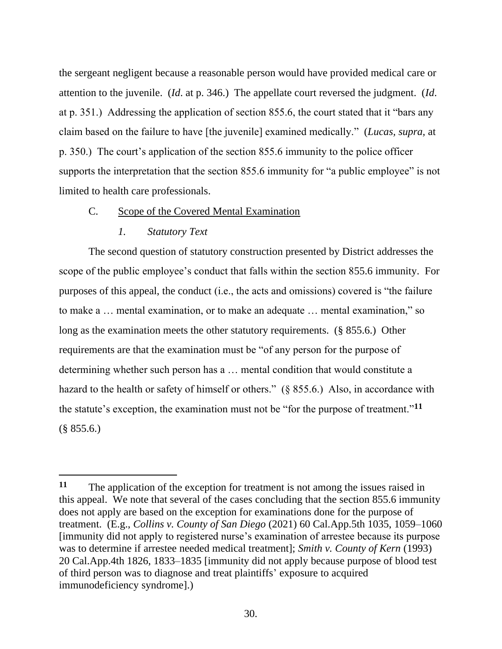the sergeant negligent because a reasonable person would have provided medical care or attention to the juvenile. (*Id*. at p. 346.) The appellate court reversed the judgment. (*Id*. at p. 351.) Addressing the application of section 855.6, the court stated that it "bars any claim based on the failure to have [the juvenile] examined medically." (*Lucas, supra,* at p. 350.) The court's application of the section 855.6 immunity to the police officer supports the interpretation that the section 855.6 immunity for "a public employee" is not limited to health care professionals.

### C. Scope of the Covered Mental Examination

### *1. Statutory Text*

The second question of statutory construction presented by District addresses the scope of the public employee's conduct that falls within the section 855.6 immunity. For purposes of this appeal, the conduct (i.e., the acts and omissions) covered is "the failure to make a … mental examination, or to make an adequate … mental examination," so long as the examination meets the other statutory requirements. (§ 855.6.) Other requirements are that the examination must be "of any person for the purpose of determining whether such person has a … mental condition that would constitute a hazard to the health or safety of himself or others." (§ 855.6.) Also, in accordance with the statute's exception, the examination must not be "for the purpose of treatment."**<sup>11</sup>**  $(\S$  855.6.)

**<sup>11</sup>** The application of the exception for treatment is not among the issues raised in this appeal. We note that several of the cases concluding that the section 855.6 immunity does not apply are based on the exception for examinations done for the purpose of treatment. (E.g., *Collins v. County of San Diego* (2021) 60 Cal.App.5th 1035, 1059–1060 [immunity did not apply to registered nurse's examination of arrestee because its purpose was to determine if arrestee needed medical treatment]; *Smith v. County of Kern* (1993) 20 Cal.App.4th 1826, 1833–1835 [immunity did not apply because purpose of blood test of third person was to diagnose and treat plaintiffs' exposure to acquired immunodeficiency syndrome].)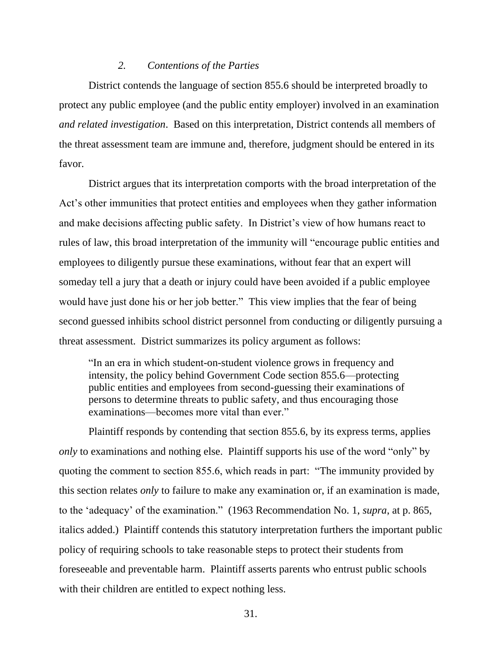#### *2. Contentions of the Parties*

District contends the language of section 855.6 should be interpreted broadly to protect any public employee (and the public entity employer) involved in an examination *and related investigation*. Based on this interpretation, District contends all members of the threat assessment team are immune and, therefore, judgment should be entered in its favor.

District argues that its interpretation comports with the broad interpretation of the Act's other immunities that protect entities and employees when they gather information and make decisions affecting public safety. In District's view of how humans react to rules of law, this broad interpretation of the immunity will "encourage public entities and employees to diligently pursue these examinations, without fear that an expert will someday tell a jury that a death or injury could have been avoided if a public employee would have just done his or her job better." This view implies that the fear of being second guessed inhibits school district personnel from conducting or diligently pursuing a threat assessment. District summarizes its policy argument as follows:

"In an era in which student-on-student violence grows in frequency and intensity, the policy behind Government Code section 855.6—protecting public entities and employees from second-guessing their examinations of persons to determine threats to public safety, and thus encouraging those examinations—becomes more vital than ever."

Plaintiff responds by contending that section 855.6, by its express terms, applies *only* to examinations and nothing else. Plaintiff supports his use of the word "only" by quoting the comment to section 855.6, which reads in part: "The immunity provided by this section relates *only* to failure to make any examination or, if an examination is made, to the 'adequacy' of the examination." (1963 Recommendation No. 1, *supra*, at p. 865, italics added.) Plaintiff contends this statutory interpretation furthers the important public policy of requiring schools to take reasonable steps to protect their students from foreseeable and preventable harm. Plaintiff asserts parents who entrust public schools with their children are entitled to expect nothing less.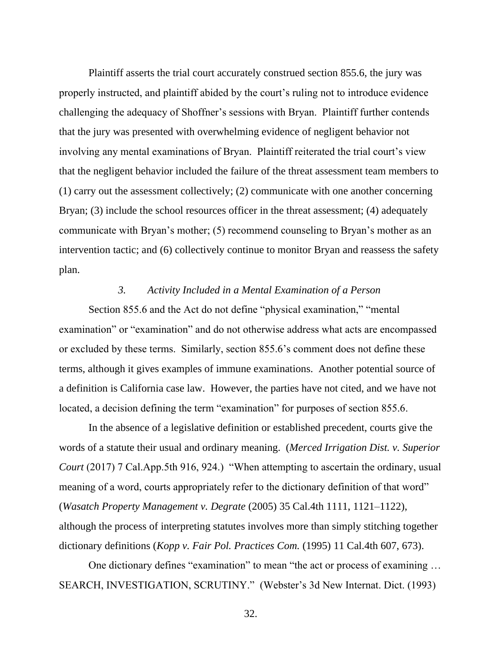Plaintiff asserts the trial court accurately construed section 855.6, the jury was properly instructed, and plaintiff abided by the court's ruling not to introduce evidence challenging the adequacy of Shoffner's sessions with Bryan. Plaintiff further contends that the jury was presented with overwhelming evidence of negligent behavior not involving any mental examinations of Bryan. Plaintiff reiterated the trial court's view that the negligent behavior included the failure of the threat assessment team members to (1) carry out the assessment collectively; (2) communicate with one another concerning Bryan; (3) include the school resources officer in the threat assessment; (4) adequately communicate with Bryan's mother; (5) recommend counseling to Bryan's mother as an intervention tactic; and (6) collectively continue to monitor Bryan and reassess the safety plan.

#### *3. Activity Included in a Mental Examination of a Person*

Section 855.6 and the Act do not define "physical examination," "mental examination" or "examination" and do not otherwise address what acts are encompassed or excluded by these terms. Similarly, section 855.6's comment does not define these terms, although it gives examples of immune examinations. Another potential source of a definition is California case law. However, the parties have not cited, and we have not located, a decision defining the term "examination" for purposes of section 855.6.

In the absence of a legislative definition or established precedent, courts give the words of a statute their usual and ordinary meaning. (*Merced Irrigation Dist. v. Superior Court* (2017) 7 Cal.App.5th 916, 924.) "When attempting to ascertain the ordinary, usual meaning of a word, courts appropriately refer to the dictionary definition of that word" (*Wasatch Property Management v. Degrate* (2005) 35 Cal.4th 1111, 1121–1122), although the process of interpreting statutes involves more than simply stitching together dictionary definitions (*Kopp v. Fair Pol. Practices Com.* (1995) 11 Cal.4th 607, 673).

One dictionary defines "examination" to mean "the act or process of examining … SEARCH, INVESTIGATION, SCRUTINY." (Webster's 3d New Internat. Dict. (1993)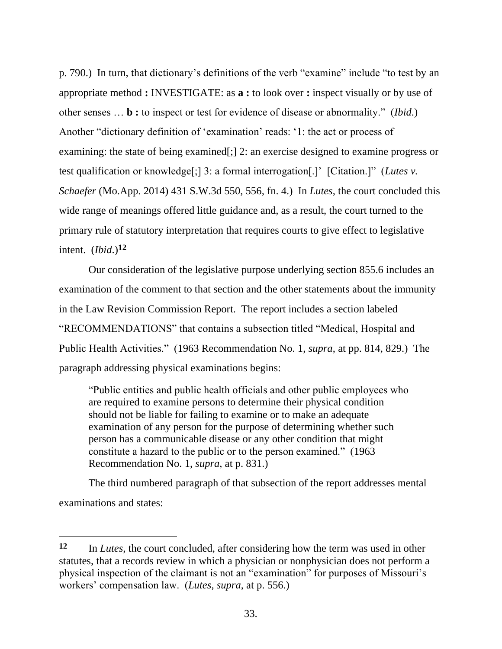p. 790.) In turn, that dictionary's definitions of the verb "examine" include "to test by an appropriate method **:** INVESTIGATE: as **a :** to look over **:** inspect visually or by use of other senses … **b :** to inspect or test for evidence of disease or abnormality." (*Ibid*.) Another "dictionary definition of 'examination' reads: '1: the act or process of examining: the state of being examined[;] 2: an exercise designed to examine progress or test qualification or knowledge[;] 3: a formal interrogation[.]' [Citation.]" (*Lutes v. Schaefer* (Mo.App. 2014) 431 S.W.3d 550, 556, fn. 4.) In *Lutes*, the court concluded this wide range of meanings offered little guidance and, as a result, the court turned to the primary rule of statutory interpretation that requires courts to give effect to legislative intent. (*Ibid*.)**<sup>12</sup>**

Our consideration of the legislative purpose underlying section 855.6 includes an examination of the comment to that section and the other statements about the immunity in the Law Revision Commission Report. The report includes a section labeled "RECOMMENDATIONS" that contains a subsection titled "Medical, Hospital and Public Health Activities." (1963 Recommendation No. 1, *supra*, at pp. 814, 829.) The paragraph addressing physical examinations begins:

"Public entities and public health officials and other public employees who are required to examine persons to determine their physical condition should not be liable for failing to examine or to make an adequate examination of any person for the purpose of determining whether such person has a communicable disease or any other condition that might constitute a hazard to the public or to the person examined." (1963 Recommendation No. 1, *supra*, at p. 831.)

The third numbered paragraph of that subsection of the report addresses mental examinations and states:

**<sup>12</sup>** In *Lutes*, the court concluded, after considering how the term was used in other statutes, that a records review in which a physician or nonphysician does not perform a physical inspection of the claimant is not an "examination" for purposes of Missouri's workers' compensation law. (*Lutes*, *supra*, at p. 556.)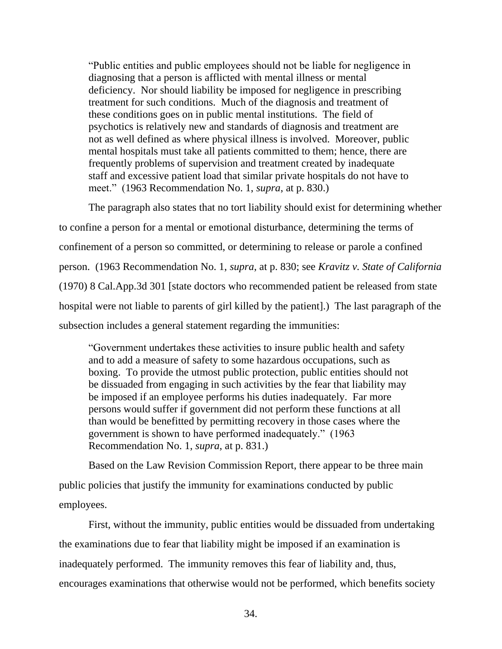"Public entities and public employees should not be liable for negligence in diagnosing that a person is afflicted with mental illness or mental deficiency. Nor should liability be imposed for negligence in prescribing treatment for such conditions. Much of the diagnosis and treatment of these conditions goes on in public mental institutions. The field of psychotics is relatively new and standards of diagnosis and treatment are not as well defined as where physical illness is involved. Moreover, public mental hospitals must take all patients committed to them; hence, there are frequently problems of supervision and treatment created by inadequate staff and excessive patient load that similar private hospitals do not have to meet." (1963 Recommendation No. 1, *supra*, at p. 830.)

The paragraph also states that no tort liability should exist for determining whether to confine a person for a mental or emotional disturbance, determining the terms of confinement of a person so committed, or determining to release or parole a confined person. (1963 Recommendation No. 1, *supra*, at p. 830; see *Kravitz v. State of California* (1970) 8 Cal.App.3d 301 [state doctors who recommended patient be released from state hospital were not liable to parents of girl killed by the patient].) The last paragraph of the subsection includes a general statement regarding the immunities:

"Government undertakes these activities to insure public health and safety and to add a measure of safety to some hazardous occupations, such as boxing. To provide the utmost public protection, public entities should not be dissuaded from engaging in such activities by the fear that liability may be imposed if an employee performs his duties inadequately. Far more persons would suffer if government did not perform these functions at all than would be benefitted by permitting recovery in those cases where the government is shown to have performed inadequately." (1963 Recommendation No. 1, *supra*, at p. 831.)

Based on the Law Revision Commission Report, there appear to be three main public policies that justify the immunity for examinations conducted by public employees.

First, without the immunity, public entities would be dissuaded from undertaking the examinations due to fear that liability might be imposed if an examination is inadequately performed. The immunity removes this fear of liability and, thus, encourages examinations that otherwise would not be performed, which benefits society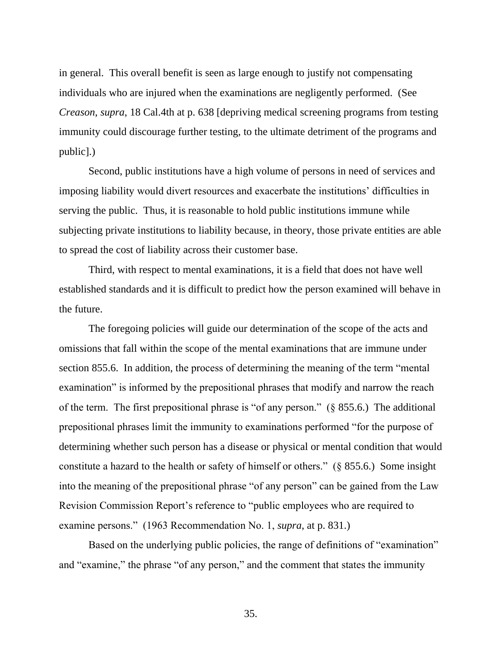in general. This overall benefit is seen as large enough to justify not compensating individuals who are injured when the examinations are negligently performed. (See *Creason*, *supra*, 18 Cal.4th at p. 638 [depriving medical screening programs from testing immunity could discourage further testing, to the ultimate detriment of the programs and public].)

Second, public institutions have a high volume of persons in need of services and imposing liability would divert resources and exacerbate the institutions' difficulties in serving the public. Thus, it is reasonable to hold public institutions immune while subjecting private institutions to liability because, in theory, those private entities are able to spread the cost of liability across their customer base.

Third, with respect to mental examinations, it is a field that does not have well established standards and it is difficult to predict how the person examined will behave in the future.

The foregoing policies will guide our determination of the scope of the acts and omissions that fall within the scope of the mental examinations that are immune under section 855.6. In addition, the process of determining the meaning of the term "mental examination" is informed by the prepositional phrases that modify and narrow the reach of the term. The first prepositional phrase is "of any person." (§ 855.6.) The additional prepositional phrases limit the immunity to examinations performed "for the purpose of determining whether such person has a disease or physical or mental condition that would constitute a hazard to the health or safety of himself or others." (§ 855.6.) Some insight into the meaning of the prepositional phrase "of any person" can be gained from the Law Revision Commission Report's reference to "public employees who are required to examine persons." (1963 Recommendation No. 1, *supra*, at p. 831.)

Based on the underlying public policies, the range of definitions of "examination" and "examine," the phrase "of any person," and the comment that states the immunity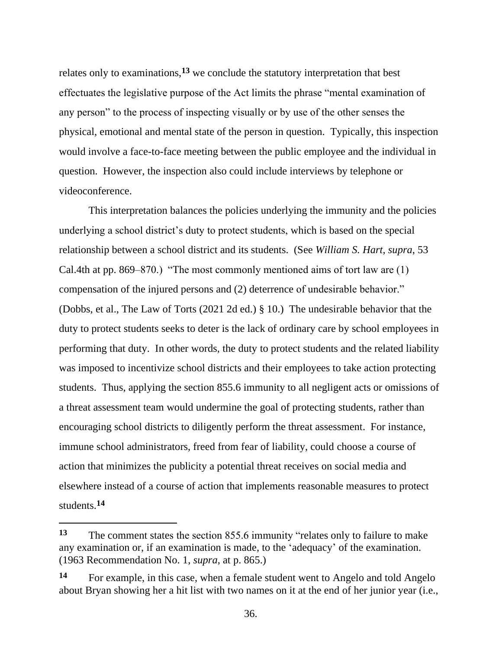relates only to examinations,**<sup>13</sup>** we conclude the statutory interpretation that best effectuates the legislative purpose of the Act limits the phrase "mental examination of any person" to the process of inspecting visually or by use of the other senses the physical, emotional and mental state of the person in question. Typically, this inspection would involve a face-to-face meeting between the public employee and the individual in question. However, the inspection also could include interviews by telephone or videoconference.

This interpretation balances the policies underlying the immunity and the policies underlying a school district's duty to protect students, which is based on the special relationship between a school district and its students. (See *William S. Hart*, *supra*, 53 Cal.4th at pp. 869–870.) "The most commonly mentioned aims of tort law are (1) compensation of the injured persons and (2) deterrence of undesirable behavior." (Dobbs, et al., The Law of Torts (2021 2d ed.) § 10.) The undesirable behavior that the duty to protect students seeks to deter is the lack of ordinary care by school employees in performing that duty. In other words, the duty to protect students and the related liability was imposed to incentivize school districts and their employees to take action protecting students. Thus, applying the section 855.6 immunity to all negligent acts or omissions of a threat assessment team would undermine the goal of protecting students, rather than encouraging school districts to diligently perform the threat assessment. For instance, immune school administrators, freed from fear of liability, could choose a course of action that minimizes the publicity a potential threat receives on social media and elsewhere instead of a course of action that implements reasonable measures to protect students.**<sup>14</sup>**

**<sup>13</sup>** The comment states the section 855.6 immunity "relates only to failure to make any examination or, if an examination is made, to the 'adequacy' of the examination. (1963 Recommendation No. 1, *supra*, at p. 865.)

**<sup>14</sup>** For example, in this case, when a female student went to Angelo and told Angelo about Bryan showing her a hit list with two names on it at the end of her junior year (i.e.,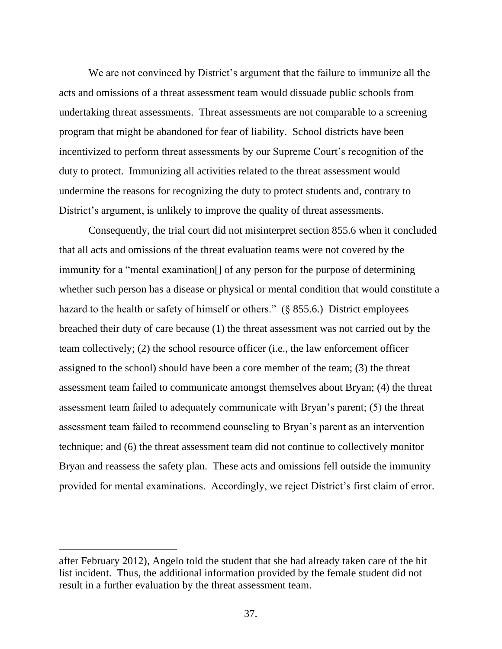We are not convinced by District's argument that the failure to immunize all the acts and omissions of a threat assessment team would dissuade public schools from undertaking threat assessments. Threat assessments are not comparable to a screening program that might be abandoned for fear of liability. School districts have been incentivized to perform threat assessments by our Supreme Court's recognition of the duty to protect. Immunizing all activities related to the threat assessment would undermine the reasons for recognizing the duty to protect students and, contrary to District's argument, is unlikely to improve the quality of threat assessments.

Consequently, the trial court did not misinterpret section 855.6 when it concluded that all acts and omissions of the threat evaluation teams were not covered by the immunity for a "mental examination[] of any person for the purpose of determining whether such person has a disease or physical or mental condition that would constitute a hazard to the health or safety of himself or others." (§ 855.6.) District employees breached their duty of care because (1) the threat assessment was not carried out by the team collectively; (2) the school resource officer (i.e., the law enforcement officer assigned to the school) should have been a core member of the team; (3) the threat assessment team failed to communicate amongst themselves about Bryan; (4) the threat assessment team failed to adequately communicate with Bryan's parent; (5) the threat assessment team failed to recommend counseling to Bryan's parent as an intervention technique; and (6) the threat assessment team did not continue to collectively monitor Bryan and reassess the safety plan. These acts and omissions fell outside the immunity provided for mental examinations. Accordingly, we reject District's first claim of error.

after February 2012), Angelo told the student that she had already taken care of the hit list incident. Thus, the additional information provided by the female student did not result in a further evaluation by the threat assessment team.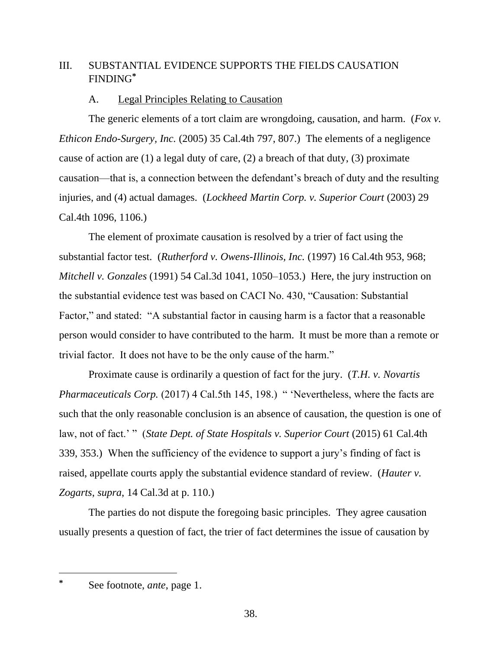# III. SUBSTANTIAL EVIDENCE SUPPORTS THE FIELDS CAUSATION FINDING**\***

# A. Legal Principles Relating to Causation

The generic elements of a tort claim are wrongdoing, causation, and harm. (*Fox v. Ethicon Endo-Surgery, Inc.* (2005) 35 Cal.4th 797, 807.) The elements of a negligence cause of action are (1) a legal duty of care, (2) a breach of that duty, (3) proximate causation—that is, a connection between the defendant's breach of duty and the resulting injuries, and (4) actual damages. (*Lockheed Martin Corp. v. Superior Court* (2003) 29 Cal.4th 1096, 1106.)

The element of proximate causation is resolved by a trier of fact using the substantial factor test. (*Rutherford v. Owens-Illinois, Inc.* (1997) 16 Cal.4th 953, 968; *Mitchell v. Gonzales* (1991) 54 Cal.3d 1041, 1050–1053.) Here, the jury instruction on the substantial evidence test was based on CACI No. 430, "Causation: Substantial Factor," and stated: "A substantial factor in causing harm is a factor that a reasonable person would consider to have contributed to the harm. It must be more than a remote or trivial factor. It does not have to be the only cause of the harm."

Proximate cause is ordinarily a question of fact for the jury. (*T.H. v. Novartis Pharmaceuticals Corp.* (2017) 4 Cal.5th 145, 198.) " 'Nevertheless, where the facts are such that the only reasonable conclusion is an absence of causation, the question is one of law, not of fact.' " (*State Dept. of State Hospitals v. Superior Court* (2015) 61 Cal.4th 339, 353.) When the sufficiency of the evidence to support a jury's finding of fact is raised, appellate courts apply the substantial evidence standard of review. (*Hauter v. Zogarts*, *supra*, 14 Cal.3d at p. 110.)

The parties do not dispute the foregoing basic principles. They agree causation usually presents a question of fact, the trier of fact determines the issue of causation by

**<sup>\*</sup>** See footnote, *ante*, page 1.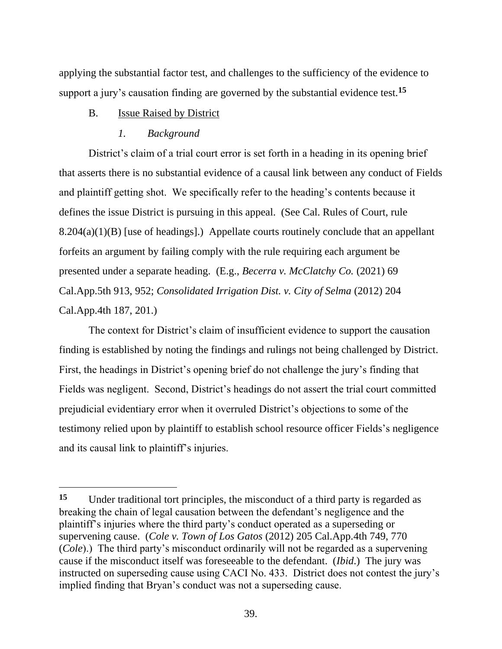applying the substantial factor test, and challenges to the sufficiency of the evidence to support a jury's causation finding are governed by the substantial evidence test.**<sup>15</sup>**

### B. Issue Raised by District

### *1. Background*

District's claim of a trial court error is set forth in a heading in its opening brief that asserts there is no substantial evidence of a causal link between any conduct of Fields and plaintiff getting shot. We specifically refer to the heading's contents because it defines the issue District is pursuing in this appeal. (See Cal. Rules of Court, rule 8.204(a)(1)(B) [use of headings].) Appellate courts routinely conclude that an appellant forfeits an argument by failing comply with the rule requiring each argument be presented under a separate heading. (E.g., *Becerra v. McClatchy Co.* (2021) 69 Cal.App.5th 913, 952; *Consolidated Irrigation Dist. v. City of Selma* (2012) 204 Cal.App.4th 187, 201.)

The context for District's claim of insufficient evidence to support the causation finding is established by noting the findings and rulings not being challenged by District. First, the headings in District's opening brief do not challenge the jury's finding that Fields was negligent. Second, District's headings do not assert the trial court committed prejudicial evidentiary error when it overruled District's objections to some of the testimony relied upon by plaintiff to establish school resource officer Fields's negligence and its causal link to plaintiff's injuries.

**<sup>15</sup>** Under traditional tort principles, the misconduct of a third party is regarded as breaking the chain of legal causation between the defendant's negligence and the plaintiff's injuries where the third party's conduct operated as a superseding or supervening cause. (*Cole v. Town of Los Gatos* (2012) 205 Cal.App.4th 749, 770 (*Cole*).) The third party's misconduct ordinarily will not be regarded as a supervening cause if the misconduct itself was foreseeable to the defendant. (*Ibid*.) The jury was instructed on superseding cause using CACI No. 433. District does not contest the jury's implied finding that Bryan's conduct was not a superseding cause.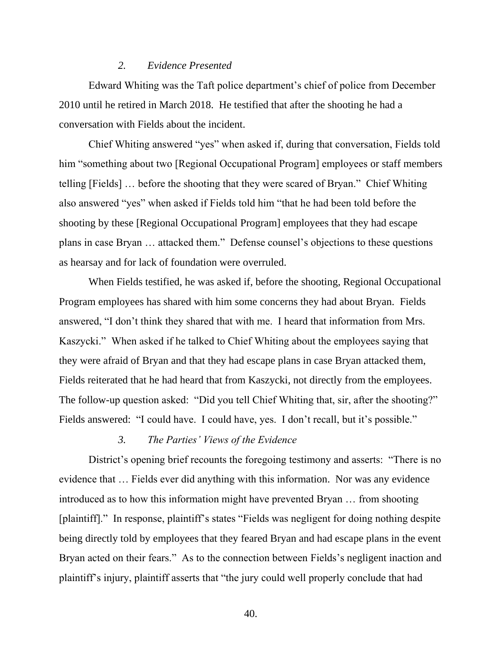#### *2. Evidence Presented*

Edward Whiting was the Taft police department's chief of police from December 2010 until he retired in March 2018. He testified that after the shooting he had a conversation with Fields about the incident.

Chief Whiting answered "yes" when asked if, during that conversation, Fields told him "something about two [Regional Occupational Program] employees or staff members telling [Fields] … before the shooting that they were scared of Bryan." Chief Whiting also answered "yes" when asked if Fields told him "that he had been told before the shooting by these [Regional Occupational Program] employees that they had escape plans in case Bryan … attacked them." Defense counsel's objections to these questions as hearsay and for lack of foundation were overruled.

When Fields testified, he was asked if, before the shooting, Regional Occupational Program employees has shared with him some concerns they had about Bryan. Fields answered, "I don't think they shared that with me. I heard that information from Mrs. Kaszycki." When asked if he talked to Chief Whiting about the employees saying that they were afraid of Bryan and that they had escape plans in case Bryan attacked them, Fields reiterated that he had heard that from Kaszycki, not directly from the employees. The follow-up question asked: "Did you tell Chief Whiting that, sir, after the shooting?" Fields answered: "I could have. I could have, yes. I don't recall, but it's possible."

### *3. The Parties' Views of the Evidence*

District's opening brief recounts the foregoing testimony and asserts: "There is no evidence that … Fields ever did anything with this information. Nor was any evidence introduced as to how this information might have prevented Bryan … from shooting [plaintiff]." In response, plaintiff's states "Fields was negligent for doing nothing despite being directly told by employees that they feared Bryan and had escape plans in the event Bryan acted on their fears." As to the connection between Fields's negligent inaction and plaintiff's injury, plaintiff asserts that "the jury could well properly conclude that had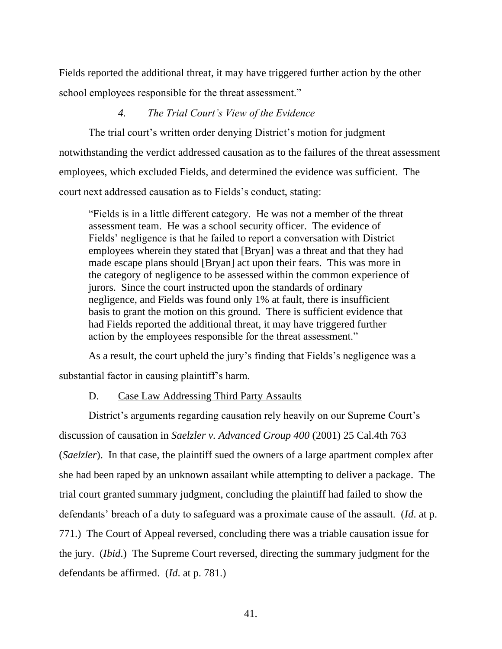Fields reported the additional threat, it may have triggered further action by the other school employees responsible for the threat assessment."

### *4. The Trial Court's View of the Evidence*

The trial court's written order denying District's motion for judgment notwithstanding the verdict addressed causation as to the failures of the threat assessment employees, which excluded Fields, and determined the evidence was sufficient. The court next addressed causation as to Fields's conduct, stating:

"Fields is in a little different category. He was not a member of the threat assessment team. He was a school security officer. The evidence of Fields' negligence is that he failed to report a conversation with District employees wherein they stated that [Bryan] was a threat and that they had made escape plans should [Bryan] act upon their fears. This was more in the category of negligence to be assessed within the common experience of jurors. Since the court instructed upon the standards of ordinary negligence, and Fields was found only 1% at fault, there is insufficient basis to grant the motion on this ground. There is sufficient evidence that had Fields reported the additional threat, it may have triggered further action by the employees responsible for the threat assessment."

As a result, the court upheld the jury's finding that Fields's negligence was a substantial factor in causing plaintiff's harm.

### D. Case Law Addressing Third Party Assaults

District's arguments regarding causation rely heavily on our Supreme Court's discussion of causation in *Saelzler v. Advanced Group 400* (2001) 25 Cal.4th 763 (*Saelzler*). In that case, the plaintiff sued the owners of a large apartment complex after she had been raped by an unknown assailant while attempting to deliver a package. The trial court granted summary judgment, concluding the plaintiff had failed to show the defendants' breach of a duty to safeguard was a proximate cause of the assault. (*Id*. at p. 771.) The Court of Appeal reversed, concluding there was a triable causation issue for the jury. (*Ibid*.) The Supreme Court reversed, directing the summary judgment for the defendants be affirmed. (*Id*. at p. 781.)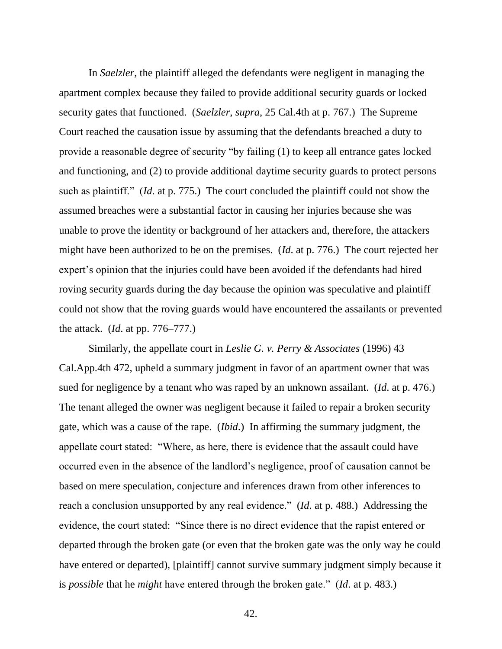In *Saelzler*, the plaintiff alleged the defendants were negligent in managing the apartment complex because they failed to provide additional security guards or locked security gates that functioned. (*Saelzler*, *supra*, 25 Cal.4th at p. 767.) The Supreme Court reached the causation issue by assuming that the defendants breached a duty to provide a reasonable degree of security "by failing (1) to keep all entrance gates locked and functioning, and (2) to provide additional daytime security guards to protect persons such as plaintiff." (*Id*. at p. 775.) The court concluded the plaintiff could not show the assumed breaches were a substantial factor in causing her injuries because she was unable to prove the identity or background of her attackers and, therefore, the attackers might have been authorized to be on the premises. (*Id*. at p. 776.) The court rejected her expert's opinion that the injuries could have been avoided if the defendants had hired roving security guards during the day because the opinion was speculative and plaintiff could not show that the roving guards would have encountered the assailants or prevented the attack. (*Id*. at pp. 776–777.)

Similarly, the appellate court in *Leslie G. v. Perry & Associates* (1996) 43 Cal.App.4th 472, upheld a summary judgment in favor of an apartment owner that was sued for negligence by a tenant who was raped by an unknown assailant. (*Id*. at p. 476.) The tenant alleged the owner was negligent because it failed to repair a broken security gate, which was a cause of the rape. (*Ibid*.) In affirming the summary judgment, the appellate court stated: "Where, as here, there is evidence that the assault could have occurred even in the absence of the landlord's negligence, proof of causation cannot be based on mere speculation, conjecture and inferences drawn from other inferences to reach a conclusion unsupported by any real evidence." (*Id*. at p. 488.) Addressing the evidence, the court stated: "Since there is no direct evidence that the rapist entered or departed through the broken gate (or even that the broken gate was the only way he could have entered or departed), [plaintiff] cannot survive summary judgment simply because it is *possible* that he *might* have entered through the broken gate." (*Id*. at p. 483.)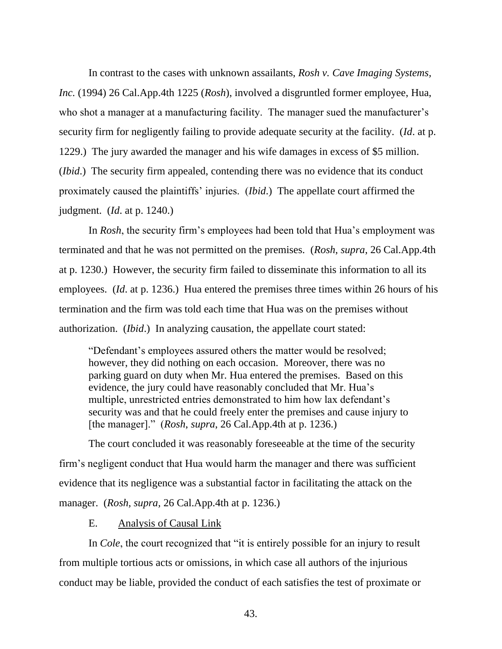In contrast to the cases with unknown assailants, *Rosh v. Cave Imaging Systems, Inc.* (1994) 26 Cal.App.4th 1225 (*Rosh*), involved a disgruntled former employee, Hua, who shot a manager at a manufacturing facility. The manager sued the manufacturer's security firm for negligently failing to provide adequate security at the facility. (*Id*. at p. 1229.) The jury awarded the manager and his wife damages in excess of \$5 million. (*Ibid*.) The security firm appealed, contending there was no evidence that its conduct proximately caused the plaintiffs' injuries. (*Ibid*.) The appellate court affirmed the judgment. (*Id*. at p. 1240.)

In *Rosh*, the security firm's employees had been told that Hua's employment was terminated and that he was not permitted on the premises. (*Rosh*, *supra*, 26 Cal.App.4th at p. 1230.) However, the security firm failed to disseminate this information to all its employees. (*Id*. at p. 1236.) Hua entered the premises three times within 26 hours of his termination and the firm was told each time that Hua was on the premises without authorization. (*Ibid*.) In analyzing causation, the appellate court stated:

"Defendant's employees assured others the matter would be resolved; however, they did nothing on each occasion. Moreover, there was no parking guard on duty when Mr. Hua entered the premises. Based on this evidence, the jury could have reasonably concluded that Mr. Hua's multiple, unrestricted entries demonstrated to him how lax defendant's security was and that he could freely enter the premises and cause injury to [the manager]." (*Rosh*, *supra*, 26 Cal.App.4th at p. 1236.)

The court concluded it was reasonably foreseeable at the time of the security firm's negligent conduct that Hua would harm the manager and there was sufficient evidence that its negligence was a substantial factor in facilitating the attack on the manager. (*Rosh, supra,* 26 Cal.App.4th at p. 1236.)

## E. Analysis of Causal Link

In *Cole*, the court recognized that "it is entirely possible for an injury to result from multiple tortious acts or omissions, in which case all authors of the injurious conduct may be liable, provided the conduct of each satisfies the test of proximate or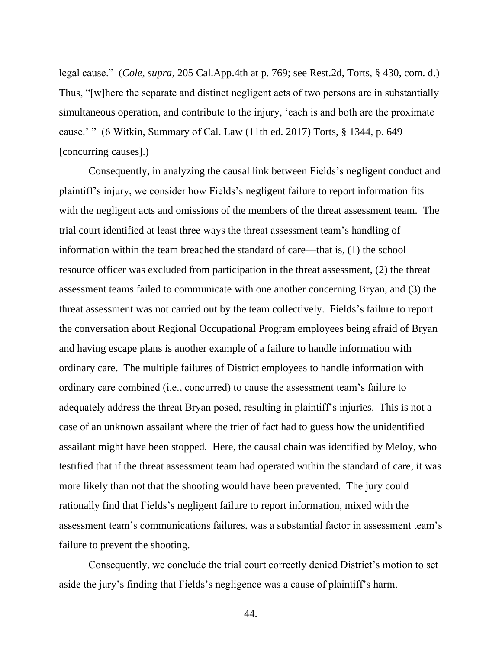legal cause." (*Cole*, *supra*, 205 Cal.App.4th at p. 769; see Rest.2d, Torts, § 430, com. d.) Thus, "[w]here the separate and distinct negligent acts of two persons are in substantially simultaneous operation, and contribute to the injury, 'each is and both are the proximate cause.' " (6 Witkin, Summary of Cal. Law (11th ed. 2017) Torts, § 1344, p. 649 [concurring causes].)

Consequently, in analyzing the causal link between Fields's negligent conduct and plaintiff's injury, we consider how Fields's negligent failure to report information fits with the negligent acts and omissions of the members of the threat assessment team. The trial court identified at least three ways the threat assessment team's handling of information within the team breached the standard of care—that is, (1) the school resource officer was excluded from participation in the threat assessment, (2) the threat assessment teams failed to communicate with one another concerning Bryan, and (3) the threat assessment was not carried out by the team collectively. Fields's failure to report the conversation about Regional Occupational Program employees being afraid of Bryan and having escape plans is another example of a failure to handle information with ordinary care. The multiple failures of District employees to handle information with ordinary care combined (i.e., concurred) to cause the assessment team's failure to adequately address the threat Bryan posed, resulting in plaintiff's injuries. This is not a case of an unknown assailant where the trier of fact had to guess how the unidentified assailant might have been stopped. Here, the causal chain was identified by Meloy, who testified that if the threat assessment team had operated within the standard of care, it was more likely than not that the shooting would have been prevented. The jury could rationally find that Fields's negligent failure to report information, mixed with the assessment team's communications failures, was a substantial factor in assessment team's failure to prevent the shooting.

Consequently, we conclude the trial court correctly denied District's motion to set aside the jury's finding that Fields's negligence was a cause of plaintiff's harm.